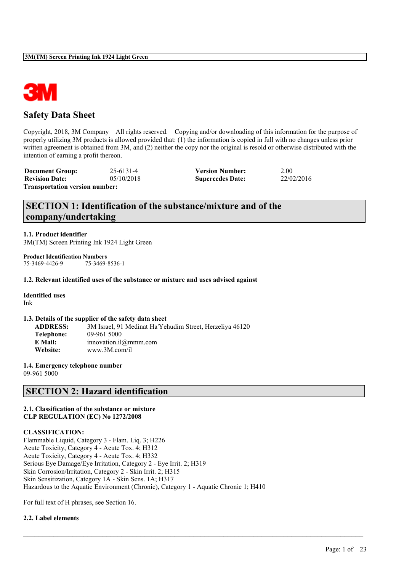

## **Safety Data Sheet**

Copyright, 2018, 3M Company All rights reserved. Copying and/or downloading of this information for the purpose of properly utilizing 3M products is allowed provided that: (1) the information is copied in full with no changes unless prior written agreement is obtained from 3M, and (2) neither the copy nor the original is resold or otherwise distributed with the intention of earning a profit thereon.

**Document Group:** 25-6131-4 **Version Number:** 2.00<br> **Revision Date:** 05/10/2018 **Supercedes Date:** 22/02/2016 **Revision Date:** 05/10/2018 **Supercedes Date: Transportation version number:**

# **SECTION 1: Identification of the substance/mixture and of the company/undertaking**

**1.1. Product identifier** 3M(TM) Screen Printing Ink 1924 Light Green

**Product Identification Numbers**<br>75-3469-4426-9<br>75-3469-75-3469-8536-1

#### **1.2. Relevant identified uses of the substance or mixture and uses advised against**

**Identified uses**

Ink

#### **1.3. Details of the supplier of the safety data sheet**

**ADDRESS:** 3M Israel, 91 Medinat Ha'Yehudim Street, Herzeliya 46120 **Telephone:** 09-961 5000 **E Mail:** innovation.il@mmm.com **Website:** www.3M.com/il

**1.4. Emergency telephone number**

09-961 5000

## **SECTION 2: Hazard identification**

#### **2.1. Classification of the substance or mixture CLP REGULATION (EC) No 1272/2008**

#### **CLASSIFICATION:**

Flammable Liquid, Category 3 - Flam. Liq. 3; H226 Acute Toxicity, Category 4 - Acute Tox. 4; H312 Acute Toxicity, Category 4 - Acute Tox. 4; H332 Serious Eye Damage/Eye Irritation, Category 2 - Eye Irrit. 2; H319 Skin Corrosion/Irritation, Category 2 - Skin Irrit. 2; H315 Skin Sensitization, Category 1A - Skin Sens. 1A; H317 Hazardous to the Aquatic Environment (Chronic), Category 1 - Aquatic Chronic 1; H410

 $\mathcal{L}_\mathcal{L} = \mathcal{L}_\mathcal{L} = \mathcal{L}_\mathcal{L} = \mathcal{L}_\mathcal{L} = \mathcal{L}_\mathcal{L} = \mathcal{L}_\mathcal{L} = \mathcal{L}_\mathcal{L} = \mathcal{L}_\mathcal{L} = \mathcal{L}_\mathcal{L} = \mathcal{L}_\mathcal{L} = \mathcal{L}_\mathcal{L} = \mathcal{L}_\mathcal{L} = \mathcal{L}_\mathcal{L} = \mathcal{L}_\mathcal{L} = \mathcal{L}_\mathcal{L} = \mathcal{L}_\mathcal{L} = \mathcal{L}_\mathcal{L}$ 

For full text of H phrases, see Section 16.

#### **2.2. Label elements**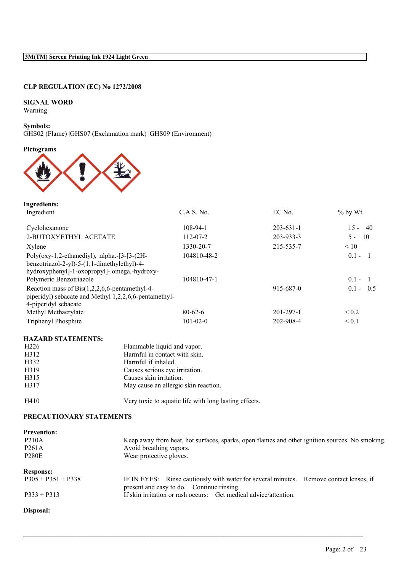### **CLP REGULATION (EC) No 1272/2008**

### **SIGNAL WORD**

Warning

#### **Symbols:**

GHS02 (Flame) |GHS07 (Exclamation mark) |GHS09 (Environment) |

### **Pictograms**



| <b>Ingredients:</b>                                                                                                                             |                |                 |               |
|-------------------------------------------------------------------------------------------------------------------------------------------------|----------------|-----------------|---------------|
| Ingredient                                                                                                                                      | C.A.S. No.     | EC No.          | $%$ by Wt     |
| Cyclohexanone                                                                                                                                   | $108-94-1$     | $203 - 631 - 1$ | $15 -$<br>-40 |
| 2-BUTOXYETHYL ACETATE                                                                                                                           | $112 - 07 - 2$ | 203-933-3       | - 10<br>$5 -$ |
| Xylene                                                                                                                                          | 1330-20-7      | 215-535-7       | < 10          |
| Poly(oxy-1,2-ethanediyl), .alpha. $-$ [3-[3-(2H-<br>benzotriazol-2-yl)-5-(1,1-dimethylethyl)-4-<br>hydroxyphenyl]-1-oxopropyl]-.omega.-hydroxy- | 104810-48-2    |                 | $0.1 -$       |
| Polymeric Benzotriazole                                                                                                                         | 104810-47-1    |                 | $0.1 -$       |
| Reaction mass of $Bis(1,2,2,6,6$ -pentamethyl-4-<br>piperidyl) sebacate and Methyl 1,2,2,6,6-pentamethyl-<br>4-piperidyl sebacate               |                | 915-687-0       | $0.1 - 0.5$   |
| Methyl Methacrylate                                                                                                                             | $80 - 62 - 6$  | $201 - 297 - 1$ | ${}_{0.2}$    |
| <b>Triphenyl Phosphite</b>                                                                                                                      | $101 - 02 - 0$ | 202-908-4       | ${}_{0.1}$    |

### **HAZARD STATEMENTS:**

| H <sub>226</sub> | Flammable liquid and vapor.                           |
|------------------|-------------------------------------------------------|
| H312             | Harmful in contact with skin.                         |
| H332             | Harmful if inhaled.                                   |
| H319             | Causes serious eye irritation.                        |
| H315             | Causes skin irritation.                               |
| H317             | May cause an allergic skin reaction.                  |
| H410             | Very toxic to aquatic life with long lasting effects. |

#### **PRECAUTIONARY STATEMENTS**

| <b>Prevention:</b>   |                                                                                                                                     |  |
|----------------------|-------------------------------------------------------------------------------------------------------------------------------------|--|
| <b>P210A</b>         | Keep away from heat, hot surfaces, sparks, open flames and other ignition sources. No smoking.                                      |  |
| P <sub>261</sub> A   | Avoid breathing vapors.                                                                                                             |  |
| <b>P280E</b>         | Wear protective gloves.                                                                                                             |  |
| <b>Response:</b>     |                                                                                                                                     |  |
| $P305 + P351 + P338$ | IF IN EYES: Rinse cautiously with water for several minutes. Remove contact lenses, if<br>present and easy to do. Continue rinsing. |  |
| $P333 + P313$        | If skin irritation or rash occurs: Get medical advice/attention.                                                                    |  |

 $\mathcal{L}_\mathcal{L} = \mathcal{L}_\mathcal{L} = \mathcal{L}_\mathcal{L} = \mathcal{L}_\mathcal{L} = \mathcal{L}_\mathcal{L} = \mathcal{L}_\mathcal{L} = \mathcal{L}_\mathcal{L} = \mathcal{L}_\mathcal{L} = \mathcal{L}_\mathcal{L} = \mathcal{L}_\mathcal{L} = \mathcal{L}_\mathcal{L} = \mathcal{L}_\mathcal{L} = \mathcal{L}_\mathcal{L} = \mathcal{L}_\mathcal{L} = \mathcal{L}_\mathcal{L} = \mathcal{L}_\mathcal{L} = \mathcal{L}_\mathcal{L}$ 

### **Disposal:**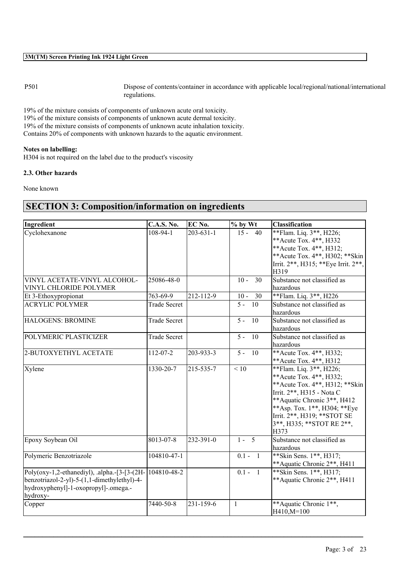P501 Dispose of contents/container in accordance with applicable local/regional/national/international regulations.

19% of the mixture consists of components of unknown acute oral toxicity. 19% of the mixture consists of components of unknown acute dermal toxicity. 19% of the mixture consists of components of unknown acute inhalation toxicity. Contains 20% of components with unknown hazards to the aquatic environment.

#### **Notes on labelling:**

H304 is not required on the label due to the product's viscosity

#### **2.3. Other hazards**

None known

# **SECTION 3: Composition/information on ingredients**

| Ingredient                                                                                                                                                     | <b>C.A.S. No.</b>   | EC No.          | % by Wt                | Classification                                                                                                                                                                                                                                            |
|----------------------------------------------------------------------------------------------------------------------------------------------------------------|---------------------|-----------------|------------------------|-----------------------------------------------------------------------------------------------------------------------------------------------------------------------------------------------------------------------------------------------------------|
| Cyclohexanone                                                                                                                                                  | $108-94-1$          | $203 - 631 - 1$ | $15 - 40$              | **Flam. Liq. 3**, H226;<br>** Acute Tox. 4**, H332<br>** Acute Tox. 4**, H312;<br>** Acute Tox. 4**, H302; ** Skin<br>Irrit. 2**, H315; ** Eye Irrit. 2**,<br>H319                                                                                        |
| VINYL ACETATE-VINYL ALCOHOL-<br>VINYL CHLORIDE POLYMER                                                                                                         | 25086-48-0          |                 | $10 -$<br>30           | Substance not classified as<br>hazardous                                                                                                                                                                                                                  |
| Et 3-Ethoxypropionat                                                                                                                                           | 763-69-9            | 212-112-9       | $10 -$<br>30           | **Flam. Liq. 3**, H226                                                                                                                                                                                                                                    |
| <b>ACRYLIC POLYMER</b>                                                                                                                                         | <b>Trade Secret</b> |                 | $5 -$<br>10            | Substance not classified as<br>hazardous                                                                                                                                                                                                                  |
| <b>HALOGENS: BROMINE</b>                                                                                                                                       | <b>Trade Secret</b> |                 | $5 -$<br>10            | Substance not classified as<br>hazardous                                                                                                                                                                                                                  |
| POLYMERIC PLASTICIZER                                                                                                                                          | <b>Trade Secret</b> |                 | $\overline{5}$ .<br>10 | Substance not classified as<br>hazardous                                                                                                                                                                                                                  |
| 2-BUTOXYETHYL ACETATE                                                                                                                                          | $112 - 07 - 2$      | 203-933-3       | $5 - 10$               | **Acute Tox. 4**, H332;<br>** Acute Tox. 4**, H312                                                                                                                                                                                                        |
| Xylene                                                                                                                                                         | 1330-20-7           | 215-535-7       | < 10                   | **Flam. Liq. 3**, H226;<br>** Acute Tox. 4**, H332;<br>** Acute Tox. 4**, H312; ** Skin<br>Irrit. 2**, H315 - Nota C<br>**Aquatic Chronic 3**, H412<br>**Asp. Tox. 1**, H304; **Eye<br>Irrit. 2**, H319; ** STOT SE<br>3**, H335; ** STOT RE 2**,<br>H373 |
| Epoxy Soybean Oil                                                                                                                                              | 8013-07-8           | 232-391-0       | $1 - 5$                | Substance not classified as<br>hazardous                                                                                                                                                                                                                  |
| Polymeric Benzotriazole                                                                                                                                        | 104810-47-1         |                 | $0.1 - 1$              | ** Skin Sens. 1**, H317;<br>** Aquatic Chronic 2**, H411                                                                                                                                                                                                  |
| Poly(oxy-1,2-ethanediyl), .alpha.-[3-[3-(2H- $ 104810-48-2$<br>benzotriazol-2-yl)-5-(1,1-dimethylethyl)-4-<br>hydroxyphenyl]-1-oxopropyl]-.omega.-<br>hydroxy- |                     |                 | $0.1 - 1$              | **Skin Sens. 1**, H317;<br>**Aquatic Chronic 2**, H411                                                                                                                                                                                                    |
| Copper                                                                                                                                                         | 7440-50-8           | 231-159-6       | $\mathbf{1}$           | **Aquatic Chronic 1**,<br>H410,M=100                                                                                                                                                                                                                      |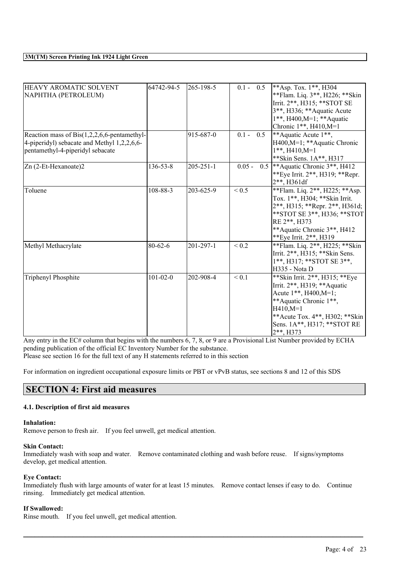| HEAVY AROMATIC SOLVENT<br>NAPHTHA (PETROLEUM)                                                                                     | 64742-94-5     | 265-198-5       | $0.1 - 0.5$     | **Asp. Tox. $1**$ , H304<br>** Flam. Liq. 3**, H226; ** Skin<br>Irrit. 2**, H315; ** STOT SE<br>3**, H336; ** Aquatic Acute<br>$1**$ , H400, M=1; ** Aquatic<br>Chronic 1**, H410, M=1                           |
|-----------------------------------------------------------------------------------------------------------------------------------|----------------|-----------------|-----------------|------------------------------------------------------------------------------------------------------------------------------------------------------------------------------------------------------------------|
| Reaction mass of $Bis(1,2,2,6,6$ -pentamethyl-<br>4-piperidyl) sebacate and Methyl 1,2,2,6,6-<br>pentamethyl-4-piperidyl sebacate |                | 915-687-0       | $0.1 - 0.5$     | **Aquatic Acute 1**,<br>H400,M=1; **Aquatic Chronic<br>$1**$ , H410, M=1<br>** Skin Sens. 1A**, H317                                                                                                             |
| Zn (2-Et-Hexanoate)2                                                                                                              | $136 - 53 - 8$ | $205 - 251 - 1$ | $0.05 -$        | 0.5   ** Aquatic Chronic $3$ **, H412<br>** Eye Irrit. 2**, H319; ** Repr.<br>2**, H361df                                                                                                                        |
| Toluene                                                                                                                           | 108-88-3       | 203-625-9       | ${}_{\leq 0.5}$ | **Flam. Liq. 2**, H225; **Asp.<br>Tox. 1**, H304; ** Skin Irrit.<br>2**, H315; **Repr. 2**, H361d;<br>**STOT SE 3**, H336; **STOT<br>RE 2**, H373<br>**Aquatic Chronic 3**, H412<br>** Eye Irrit. 2**, H319      |
| Methyl Methacrylate                                                                                                               | $80 - 62 - 6$  | $201 - 297 - 1$ | ${}_{0.2}$      | ** Flam. Liq. 2**, H225; ** Skin<br>Irrit. 2**, H315; ** Skin Sens.<br>1**, H317; ** STOT SE 3**,<br>H335 - Nota D                                                                                               |
| <b>Triphenyl Phosphite</b>                                                                                                        | $101 - 02 - 0$ | 202-908-4       | ${}_{0.1}$      | ** Skin Irrit. 2**, H315; ** Eye<br>Irrit. 2**, H319; ** Aquatic<br>Acute 1**, H400, M=1;<br>**Aquatic Chronic 1**,<br>$H410,M=1$<br>**Acute Tox. 4**, H302; **Skin<br>Sens. 1A**, H317; ** STOT RE<br>2**, H373 |

Any entry in the EC# column that begins with the numbers 6, 7, 8, or 9 are a Provisional List Number provided by ECHA pending publication of the official EC Inventory Number for the substance. Please see section 16 for the full text of any H statements referred to in this section

For information on ingredient occupational exposure limits or PBT or vPvB status, see sections 8 and 12 of this SDS

## **SECTION 4: First aid measures**

#### **4.1. Description of first aid measures**

#### **Inhalation:**

Remove person to fresh air. If you feel unwell, get medical attention.

#### **Skin Contact:**

Immediately wash with soap and water. Remove contaminated clothing and wash before reuse. If signs/symptoms develop, get medical attention.

#### **Eye Contact:**

Immediately flush with large amounts of water for at least 15 minutes. Remove contact lenses if easy to do. Continue rinsing. Immediately get medical attention.

 $\mathcal{L}_\mathcal{L} = \mathcal{L}_\mathcal{L} = \mathcal{L}_\mathcal{L} = \mathcal{L}_\mathcal{L} = \mathcal{L}_\mathcal{L} = \mathcal{L}_\mathcal{L} = \mathcal{L}_\mathcal{L} = \mathcal{L}_\mathcal{L} = \mathcal{L}_\mathcal{L} = \mathcal{L}_\mathcal{L} = \mathcal{L}_\mathcal{L} = \mathcal{L}_\mathcal{L} = \mathcal{L}_\mathcal{L} = \mathcal{L}_\mathcal{L} = \mathcal{L}_\mathcal{L} = \mathcal{L}_\mathcal{L} = \mathcal{L}_\mathcal{L}$ 

#### **If Swallowed:**

Rinse mouth. If you feel unwell, get medical attention.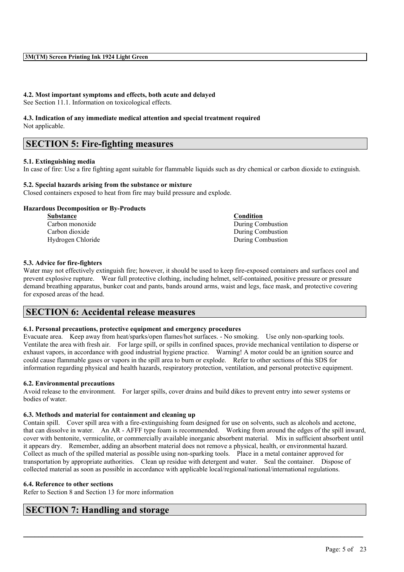# **4.2. Most important symptoms and effects, both acute and delayed**

See Section 11.1. Information on toxicological effects.

# **4.3. Indication of any immediate medical attention and special treatment required**

Not applicable.

# **SECTION 5: Fire-fighting measures**

### **5.1. Extinguishing media**

In case of fire: Use a fire fighting agent suitable for flammable liquids such as dry chemical or carbon dioxide to extinguish.

### **5.2. Special hazards arising from the substance or mixture**

Closed containers exposed to heat from fire may build pressure and explode.

### **Hazardous Decomposition or By-Products**

| <b>Substance</b>  | <b>Condition</b>  |
|-------------------|-------------------|
| Carbon monoxide   | During Combustion |
| Carbon dioxide    | During Combustion |
| Hydrogen Chloride | During Combustion |

### **5.3. Advice for fire-fighters**

Water may not effectively extinguish fire; however, it should be used to keep fire-exposed containers and surfaces cool and prevent explosive rupture. Wear full protective clothing, including helmet, self-contained, positive pressure or pressure demand breathing apparatus, bunker coat and pants, bands around arms, waist and legs, face mask, and protective covering for exposed areas of the head.

# **SECTION 6: Accidental release measures**

### **6.1. Personal precautions, protective equipment and emergency procedures**

Evacuate area. Keep away from heat/sparks/open flames/hot surfaces. - No smoking. Use only non-sparking tools. Ventilate the area with fresh air. For large spill, or spills in confined spaces, provide mechanical ventilation to disperse or exhaust vapors, in accordance with good industrial hygiene practice. Warning! A motor could be an ignition source and could cause flammable gases or vapors in the spill area to burn or explode. Refer to other sections of this SDS for information regarding physical and health hazards, respiratory protection, ventilation, and personal protective equipment.

### **6.2. Environmental precautions**

Avoid release to the environment. For larger spills, cover drains and build dikes to prevent entry into sewer systems or bodies of water.

#### **6.3. Methods and material for containment and cleaning up**

Contain spill. Cover spill area with a fire-extinguishing foam designed for use on solvents, such as alcohols and acetone, that can dissolve in water. An AR - AFFF type foam is recommended. Working from around the edges of the spill inward, cover with bentonite, vermiculite, or commercially available inorganic absorbent material. Mix in sufficient absorbent until it appears dry. Remember, adding an absorbent material does not remove a physical, health, or environmental hazard. Collect as much of the spilled material as possible using non-sparking tools. Place in a metal container approved for transportation by appropriate authorities. Clean up residue with detergent and water. Seal the container. Dispose of collected material as soon as possible in accordance with applicable local/regional/national/international regulations.

 $\mathcal{L}_\mathcal{L} = \mathcal{L}_\mathcal{L} = \mathcal{L}_\mathcal{L} = \mathcal{L}_\mathcal{L} = \mathcal{L}_\mathcal{L} = \mathcal{L}_\mathcal{L} = \mathcal{L}_\mathcal{L} = \mathcal{L}_\mathcal{L} = \mathcal{L}_\mathcal{L} = \mathcal{L}_\mathcal{L} = \mathcal{L}_\mathcal{L} = \mathcal{L}_\mathcal{L} = \mathcal{L}_\mathcal{L} = \mathcal{L}_\mathcal{L} = \mathcal{L}_\mathcal{L} = \mathcal{L}_\mathcal{L} = \mathcal{L}_\mathcal{L}$ 

#### **6.4. Reference to other sections**

Refer to Section 8 and Section 13 for more information

# **SECTION 7: Handling and storage**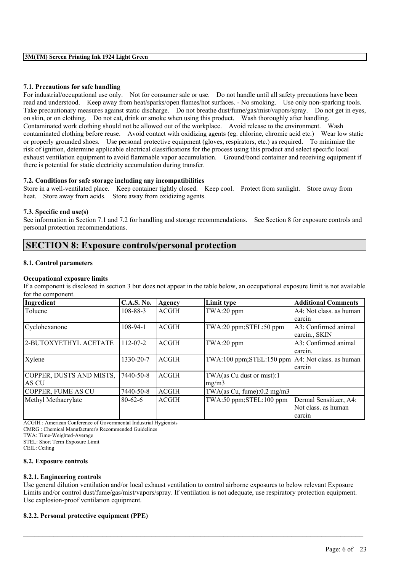#### **7.1. Precautions for safe handling**

For industrial/occupational use only. Not for consumer sale or use. Do not handle until all safety precautions have been read and understood. Keep away from heat/sparks/open flames/hot surfaces. - No smoking. Use only non-sparking tools. Take precautionary measures against static discharge. Do not breathe dust/fume/gas/mist/vapors/spray. Do not get in eyes, on skin, or on clothing. Do not eat, drink or smoke when using this product. Wash thoroughly after handling. Contaminated work clothing should not be allowed out of the workplace. Avoid release to the environment. Wash contaminated clothing before reuse. Avoid contact with oxidizing agents (eg. chlorine, chromic acid etc.) Wear low static or properly grounded shoes. Use personal protective equipment (gloves, respirators, etc.) as required. To minimize the risk of ignition, determine applicable electrical classifications for the process using this product and select specific local exhaust ventilation equipment to avoid flammable vapor accumulation. Ground/bond container and receiving equipment if there is potential for static electricity accumulation during transfer.

#### **7.2. Conditions for safe storage including any incompatibilities**

Store in a well-ventilated place. Keep container tightly closed. Keep cool. Protect from sunlight. Store away from heat. Store away from acids. Store away from oxidizing agents.

#### **7.3. Specific end use(s)**

See information in Section 7.1 and 7.2 for handling and storage recommendations. See Section 8 for exposure controls and personal protection recommendations.

## **SECTION 8: Exposure controls/personal protection**

#### **8.1. Control parameters**

#### **Occupational exposure limits**

If a component is disclosed in section 3 but does not appear in the table below, an occupational exposure limit is not available for the component.

| Ingredient               | <b>C.A.S. No.</b> | Agency       | Limit type                                            | <b>Additional Comments</b> |
|--------------------------|-------------------|--------------|-------------------------------------------------------|----------------------------|
| Toluene                  | $108 - 88 - 3$    | <b>ACGIH</b> | TWA:20 ppm                                            | A4: Not class, as human    |
|                          |                   |              |                                                       | carcin                     |
| Cyclohexanone            | $108-94-1$        | <b>ACGIH</b> | TWA:20 ppm;STEL:50 ppm                                | A3: Confirmed animal       |
|                          |                   |              |                                                       | carcin., SKIN              |
| 2-BUTOXYETHYL ACETATE    | $112 - 07 - 2$    | <b>ACGIH</b> | TWA:20 ppm                                            | A3: Confirmed animal       |
|                          |                   |              |                                                       | carcin.                    |
| Xylene                   | 1330-20-7         | <b>ACGIH</b> | $TWA:100 ppm; STEL:150 ppm   A4: Not class.$ as human |                            |
|                          |                   |              |                                                       | carcin                     |
| COPPER, DUSTS AND MISTS, | 7440-50-8         | <b>ACGIH</b> | TWA(as Cu dust or mist):1                             |                            |
| AS CU                    |                   |              | mg/m3                                                 |                            |
| COPPER, FUME AS CU       | 7440-50-8         | <b>ACGIH</b> | TWA $(as Cu, func): 0.2 mg/m3$                        |                            |
| Methyl Methacrylate      | $80 - 62 - 6$     | <b>ACGIH</b> | TWA:50 ppm;STEL:100 ppm                               | Dermal Sensitizer, A4:     |
|                          |                   |              |                                                       | Not class. as human        |
|                          |                   |              |                                                       | carcin                     |

ACGIH : American Conference of Governmental Industrial Hygienists

CMRG : Chemical Manufacturer's Recommended Guidelines

TWA: Time-Weighted-Average

STEL: Short Term Exposure Limit

CEIL: Ceiling

#### **8.2. Exposure controls**

#### **8.2.1. Engineering controls**

Use general dilution ventilation and/or local exhaust ventilation to control airborne exposures to below relevant Exposure Limits and/or control dust/fume/gas/mist/vapors/spray. If ventilation is not adequate, use respiratory protection equipment. Use explosion-proof ventilation equipment.

 $\mathcal{L}_\mathcal{L} = \mathcal{L}_\mathcal{L} = \mathcal{L}_\mathcal{L} = \mathcal{L}_\mathcal{L} = \mathcal{L}_\mathcal{L} = \mathcal{L}_\mathcal{L} = \mathcal{L}_\mathcal{L} = \mathcal{L}_\mathcal{L} = \mathcal{L}_\mathcal{L} = \mathcal{L}_\mathcal{L} = \mathcal{L}_\mathcal{L} = \mathcal{L}_\mathcal{L} = \mathcal{L}_\mathcal{L} = \mathcal{L}_\mathcal{L} = \mathcal{L}_\mathcal{L} = \mathcal{L}_\mathcal{L} = \mathcal{L}_\mathcal{L}$ 

#### **8.2.2. Personal protective equipment (PPE)**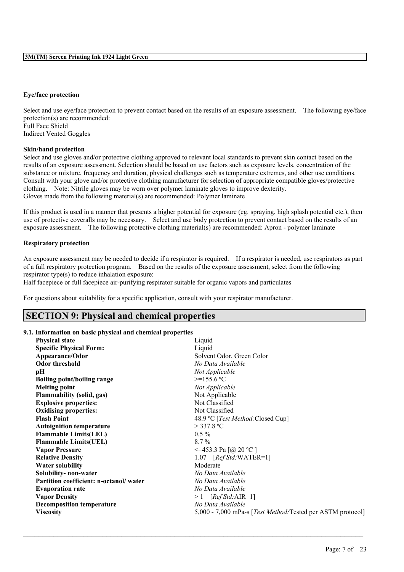#### **Eye/face protection**

Select and use eye/face protection to prevent contact based on the results of an exposure assessment. The following eye/face protection(s) are recommended: Full Face Shield Indirect Vented Goggles

#### **Skin/hand protection**

Select and use gloves and/or protective clothing approved to relevant local standards to prevent skin contact based on the results of an exposure assessment. Selection should be based on use factors such as exposure levels, concentration of the substance or mixture, frequency and duration, physical challenges such as temperature extremes, and other use conditions. Consult with your glove and/or protective clothing manufacturer for selection of appropriate compatible gloves/protective clothing. Note: Nitrile gloves may be worn over polymer laminate gloves to improve dexterity. Gloves made from the following material(s) are recommended: Polymer laminate

If this product is used in a manner that presents a higher potential for exposure (eg. spraying, high splash potential etc.), then use of protective coveralls may be necessary. Select and use body protection to prevent contact based on the results of an exposure assessment. The following protective clothing material(s) are recommended: Apron - polymer laminate

#### **Respiratory protection**

An exposure assessment may be needed to decide if a respirator is required. If a respirator is needed, use respirators as part of a full respiratory protection program. Based on the results of the exposure assessment, select from the following respirator type(s) to reduce inhalation exposure:

Half facepiece or full facepiece air-purifying respirator suitable for organic vapors and particulates

For questions about suitability for a specific application, consult with your respirator manufacturer.

### **SECTION 9: Physical and chemical properties**

#### **9.1. Information on basic physical and chemical properties**

| <b>Physical state</b>                  | Liquid                                                              |
|----------------------------------------|---------------------------------------------------------------------|
|                                        |                                                                     |
| <b>Specific Physical Form:</b>         | Liquid                                                              |
| Appearance/Odor                        | Solvent Odor, Green Color                                           |
| <b>Odor threshold</b>                  | No Data Available                                                   |
| pН                                     | Not Applicable                                                      |
| Boiling point/boiling range            | $>=155.6 °C$                                                        |
| <b>Melting point</b>                   | Not Applicable                                                      |
| <b>Flammability (solid, gas)</b>       | Not Applicable                                                      |
| <b>Explosive properties:</b>           | Not Classified                                                      |
| <b>Oxidising properties:</b>           | Not Classified                                                      |
| <b>Flash Point</b>                     | 48.9 °C [Test Method: Closed Cup]                                   |
| <b>Autoignition temperature</b>        | $>$ 337.8 °C                                                        |
| <b>Flammable Limits(LEL)</b>           | $0.5\%$                                                             |
| <b>Flammable Limits(UEL)</b>           | $8.7\%$                                                             |
| <b>Vapor Pressure</b>                  | $\leq$ =453.3 Pa [@ 20 °C ]                                         |
| <b>Relative Density</b>                | $1.07$ [Ref Std:WATER=1]                                            |
| <b>Water solubility</b>                | Moderate                                                            |
| Solubility- non-water                  | No Data Available                                                   |
| Partition coefficient: n-octanol/water | No Data Available                                                   |
| <b>Evaporation rate</b>                | No Data Available                                                   |
| <b>Vapor Density</b>                   | $>1$ [Ref Std:AIR=1]                                                |
| <b>Decomposition temperature</b>       | No Data Available                                                   |
| <b>Viscosity</b>                       | 5,000 - 7,000 mPa-s [ <i>Test Method</i> :Tested per ASTM protocol] |
|                                        |                                                                     |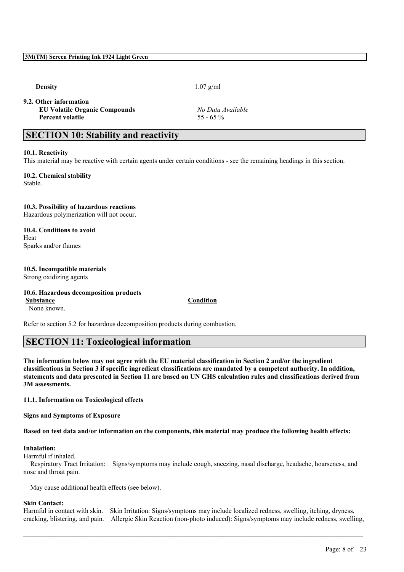**9.2. Other information**

**EU Volatile Organic Compounds** *No Data Available* **Percent volatile** 55 - 65 %

**Density** 1.07 g/ml

# **SECTION 10: Stability and reactivity**

#### **10.1. Reactivity**

This material may be reactive with certain agents under certain conditions - see the remaining headings in this section.

**10.2. Chemical stability** Stable.

### **10.3. Possibility of hazardous reactions**

Hazardous polymerization will not occur.

**10.4. Conditions to avoid** Heat Sparks and/or flames

# **10.5. Incompatible materials**

Strong oxidizing agents

### **10.6. Hazardous decomposition products Substance Condition**

None known.

Refer to section 5.2 for hazardous decomposition products during combustion.

## **SECTION 11: Toxicological information**

The information below may not agree with the EU material classification in Section 2 and/or the ingredient classifications in Section 3 if specific ingredient classifications are mandated by a competent authority. In addition, statements and data presented in Section 11 are based on UN GHS calculation rules and classifications derived from **3M assessments.**

**11.1. Information on Toxicological effects**

**Signs and Symptoms of Exposure**

Based on test data and/or information on the components, this material may produce the following health effects:

#### **Inhalation:**

Harmful if inhaled.

Respiratory Tract Irritation: Signs/symptoms may include cough, sneezing, nasal discharge, headache, hoarseness, and nose and throat pain.

May cause additional health effects (see below).

#### **Skin Contact:**

Harmful in contact with skin. Skin Irritation: Signs/symptoms may include localized redness, swelling, itching, dryness, cracking, blistering, and pain. Allergic Skin Reaction (non-photo induced): Signs/symptoms may include redness, swelling,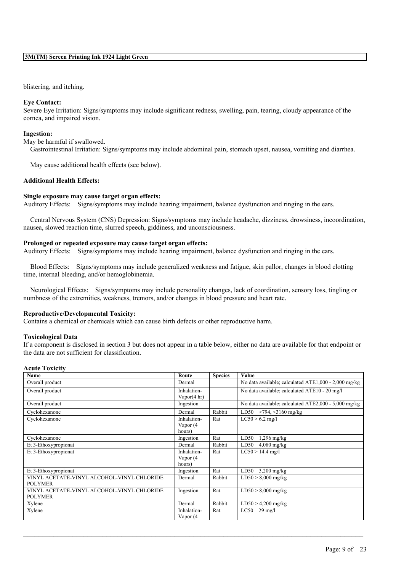#### blistering, and itching.

#### **Eye Contact:**

Severe Eye Irritation: Signs/symptoms may include significant redness, swelling, pain, tearing, cloudy appearance of the cornea, and impaired vision.

#### **Ingestion:**

May be harmful if swallowed.

Gastrointestinal Irritation: Signs/symptoms may include abdominal pain, stomach upset, nausea, vomiting and diarrhea.

May cause additional health effects (see below).

#### **Additional Health Effects:**

#### **Single exposure may cause target organ effects:**

Auditory Effects: Signs/symptoms may include hearing impairment, balance dysfunction and ringing in the ears.

Central Nervous System (CNS) Depression: Signs/symptoms may include headache, dizziness, drowsiness, incoordination, nausea, slowed reaction time, slurred speech, giddiness, and unconsciousness.

#### **Prolonged or repeated exposure may cause target organ effects:**

Auditory Effects: Signs/symptoms may include hearing impairment, balance dysfunction and ringing in the ears.

Blood Effects: Signs/symptoms may include generalized weakness and fatigue, skin pallor, changes in blood clotting time, internal bleeding, and/or hemoglobinemia.

Neurological Effects: Signs/symptoms may include personality changes, lack of coordination, sensory loss, tingling or numbness of the extremities, weakness, tremors, and/or changes in blood pressure and heart rate.

#### **Reproductive/Developmental Toxicity:**

Contains a chemical or chemicals which can cause birth defects or other reproductive harm.

#### **Toxicological Data**

If a component is disclosed in section 3 but does not appear in a table below, either no data are available for that endpoint or the data are not sufficient for classification.

#### **Acute Toxicity**

| Name                                                         | Route                                 | <b>Species</b> | Value                                                |
|--------------------------------------------------------------|---------------------------------------|----------------|------------------------------------------------------|
| Overall product                                              | Dermal                                |                | No data available; calculated ATE1,000 - 2,000 mg/kg |
| Overall product                                              | Inhalation-<br>Vapor $(4 \text{ hr})$ |                | No data available; calculated ATE10 - 20 mg/l        |
| Overall product                                              | Ingestion                             |                | No data available; calculated ATE2,000 - 5,000 mg/kg |
| Cyclohexanone                                                | Dermal                                | Rabbit         | LD50 >794, <3160 mg/kg                               |
| Cyclohexanone                                                | Inhalation-<br>Vapor (4<br>hours)     | Rat            | $LC50 > 6.2$ mg/l                                    |
| Cyclohexanone                                                | Ingestion                             | Rat            | LD50<br>$1,296$ mg/kg                                |
| Et 3-Ethoxypropionat                                         | Dermal                                | Rabbit         | $4,080$ mg/kg<br>LD50                                |
| Et 3-Ethoxypropionat                                         | Inhalation-<br>Vapor (4<br>hours)     | Rat            | $LC50 > 14.4$ mg/l                                   |
| Et 3-Ethoxypropionat                                         | Ingestion                             | Rat            | LD50<br>$3,200$ mg/kg                                |
| VINYL ACETATE-VINYL ALCOHOL-VINYL CHLORIDE<br><b>POLYMER</b> | Dermal                                | Rabbit         | $LD50 > 8,000$ mg/kg                                 |
| VINYL ACETATE-VINYL ALCOHOL-VINYL CHLORIDE<br><b>POLYMER</b> | Ingestion                             | Rat            | $LD50 > 8,000$ mg/kg                                 |
| Xylene                                                       | Dermal                                | Rabbit         | $LD50 > 4,200$ mg/kg                                 |
| Xylene                                                       | Inhalation-<br>Vapor (4               | Rat            | $LC50$ 29 mg/l                                       |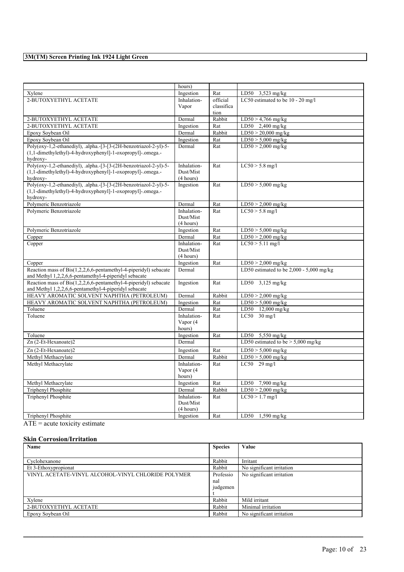|                                                                               | hours)                 |            |                                            |
|-------------------------------------------------------------------------------|------------------------|------------|--------------------------------------------|
| Xylene                                                                        | Ingestion              | Rat        | LD50 3,523 mg/kg                           |
| 2-BUTOXYETHYL ACETATE                                                         | Inhalation-            | official   | LC50 estimated to be 10 - 20 mg/l          |
|                                                                               | Vapor                  | classifica |                                            |
|                                                                               |                        | tion       |                                            |
| 2-BUTOXYETHYL ACETATE                                                         | Dermal                 | Rabbit     | $LD50 > 4,766$ mg/kg                       |
| 2-BUTOXYETHYL ACETATE                                                         | Ingestion              | Rat        | LD50 $2,400$ mg/kg                         |
| Epoxy Soybean Oil                                                             | Dermal                 | Rabbit     | $LD50 > 20,000$ mg/kg                      |
| Epoxy Sovbean Oil                                                             | Ingestion              | Rat        | $LD50 > 5,000$ mg/kg                       |
| Poly(oxy-1,2-ethanediyl), .alpha.-[3-[3-(2H-benzotriazol-2-yl)-5-             | Dermal                 | Rat        | $LD50 > 2,000$ mg/kg                       |
| (1,1-dimethylethyl)-4-hydroxyphenyl]-1-oxopropyl]-.omega.-                    |                        |            |                                            |
| hydroxy-                                                                      |                        |            |                                            |
| Poly(oxy-1,2-ethanediyl), .alpha.-[3-[3-(2H-benzotriazol-2-yl)-5-             | Inhalation-            | Rat        | $LC50 > 5.8$ mg/l                          |
| (1,1-dimethylethyl)-4-hydroxyphenyl]-1-oxopropyl]-.omega.-                    | Dust/Mist<br>(4 hours) |            |                                            |
| hydroxy-<br>Poly(oxy-1,2-ethanediyl), .alpha.-[3-[3-(2H-benzotriazol-2-yl)-5- | Ingestion              | Rat        | $LD50 > 5,000$ mg/kg                       |
| (1,1-dimethylethyl)-4-hydroxyphenyl]-1-oxopropyl]-.omega.-                    |                        |            |                                            |
| hydroxy-                                                                      |                        |            |                                            |
| Polymeric Benzotriazole                                                       | Dermal                 | Rat        | $LD50 > 2,000$ mg/kg                       |
| Polymeric Benzotriazole                                                       | Inhalation-            | Rat        | $LC50 > 5.8$ mg/l                          |
|                                                                               | Dust/Mist              |            |                                            |
|                                                                               | (4 hours)              |            |                                            |
| Polymeric Benzotriazole                                                       | Ingestion              | Rat        | $LD50 > 5,000$ mg/kg                       |
| Copper                                                                        | Dermal                 | Rat        | $LD50 > 2,000$ mg/kg                       |
| Copper                                                                        | Inhalation-            | Rat        | $LC50 > 5.11$ mg/l                         |
|                                                                               | Dust/Mist              |            |                                            |
|                                                                               | (4 hours)              |            |                                            |
| Copper                                                                        | Ingestion              | Rat        | $LD50 > 2,000$ mg/kg                       |
| Reaction mass of Bis(1,2,2,6,6-pentamethyl-4-piperidyl) sebacate              | Dermal                 |            | LD50 estimated to be $2,000 - 5,000$ mg/kg |
| and Methyl 1,2,2,6,6-pentamethyl-4-piperidyl sebacate                         |                        |            |                                            |
| Reaction mass of Bis(1,2,2,6,6-pentamethyl-4-piperidyl) sebacate              | Ingestion              | Rat        | LD50 3,125 mg/kg                           |
| and Methyl 1,2,2,6,6-pentamethyl-4-piperidyl sebacate                         |                        |            |                                            |
| HEAVY AROMATIC SOLVENT NAPHTHA (PETROLEUM)                                    | Dermal                 | Rabbit     | $LD50 > 2,000$ mg/kg                       |
| HEAVY AROMATIC SOLVENT NAPHTHA (PETROLEUM)                                    | Ingestion              | Rat        | $LD50 > 5,000$ mg/kg                       |
| Toluene                                                                       | Dermal                 | Rat        | LD50 12,000 mg/kg                          |
| Toluene                                                                       | Inhalation-            | Rat        | $LC50$ 30 mg/l                             |
|                                                                               | Vapor (4               |            |                                            |
|                                                                               | hours)                 |            |                                            |
| Toluene                                                                       | Ingestion              | Rat        | LD50 $5,550$ mg/kg                         |
| Zn (2-Et-Hexanoate)2                                                          | Dermal                 |            | LD50 estimated to be $> 5,000$ mg/kg       |
| Zn (2-Et-Hexanoate)2                                                          | Ingestion              | Rat        | $LD50 > 5,000$ mg/kg                       |
| Methyl Methacrylate                                                           | Dermal                 | Rabbit     | $LD50 > 5,000$ mg/kg                       |
| Methyl Methacrylate                                                           | Inhalation-            | Rat        | $LC50$ 29 mg/l                             |
|                                                                               | Vapor (4               |            |                                            |
|                                                                               | hours)                 |            |                                            |
| Methyl Methacrylate                                                           | Ingestion              | Rat        | LD50 7,900 mg/kg                           |
| Triphenyl Phosphite                                                           | Dermal                 | Rabbit     | $LD50 > 2,000$ mg/kg                       |
| <b>Triphenyl Phosphite</b>                                                    | Inhalation-            | Rat        | $LC50 > 1.7$ mg/l                          |
|                                                                               | Dust/Mist              |            |                                            |
|                                                                               | (4 hours)              |            |                                            |
| Triphenyl Phosphite                                                           | Ingestion              | Rat        | LD50 $1,590$ mg/kg                         |

ATE = acute toxicity estimate

### **Skin Corrosion/Irritation**

| Name                                               | <b>Species</b> | Value                     |
|----------------------------------------------------|----------------|---------------------------|
|                                                    |                |                           |
| Cyclohexanone                                      | Rabbit         | Irritant                  |
| Et 3-Ethoxypropionat                               | Rabbit         | No significant irritation |
| VINYL ACETATE-VINYL ALCOHOL-VINYL CHLORIDE POLYMER | Professio      | No significant irritation |
|                                                    | nal            |                           |
|                                                    | judgemen       |                           |
|                                                    |                |                           |
| Xvlene                                             | Rabbit         | Mild irritant             |
| 2-BUTOXYETHYL ACETATE                              | Rabbit         | Minimal irritation        |
| Epoxy Soybean Oil                                  | Rabbit         | No significant irritation |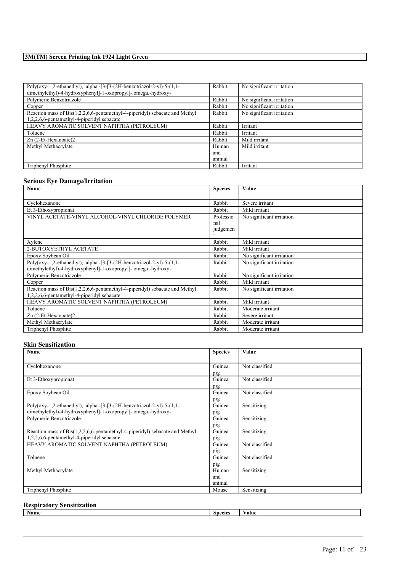| Poly(oxy-1,2-ethanediyl), .alpha.-[3-[3-(2H-benzotriazol-2-yl)-5-(1,1-      | Rabbit | No significant irritation |
|-----------------------------------------------------------------------------|--------|---------------------------|
| dimethylethyl)-4-hydroxyphenyl]-1-oxopropyl]-.omega.-hydroxy-               |        |                           |
| Polymeric Benzotriazole                                                     | Rabbit | No significant irritation |
| Copper                                                                      | Rabbit | No significant irritation |
| Reaction mass of Bis(1,2,2,6,6-pentamethyl-4-piperidyl) sebacate and Methyl | Rabbit | No significant irritation |
| 1,2,2,6,6-pentamethyl-4-piperidyl sebacate                                  |        |                           |
| HEAVY AROMATIC SOLVENT NAPHTHA (PETROLEUM)                                  | Rabbit | Irritant                  |
| Toluene                                                                     | Rabbit | Irritant                  |
| $Zn$ (2-Et-Hexanoate)2                                                      | Rabbit | Mild irritant             |
| Methyl Methacrylate                                                         | Human  | Mild irritant             |
|                                                                             | and    |                           |
|                                                                             | animal |                           |
| Triphenyl Phosphite                                                         | Rabbit | Irritant                  |

#### **Serious Eye Damage/Irritation**

| Name                                                                        | <b>Species</b> | Value                     |
|-----------------------------------------------------------------------------|----------------|---------------------------|
| Cyclohexanone                                                               | Rabbit         | Severe irritant           |
| Et 3-Ethoxypropionat                                                        | Rabbit         | Mild irritant             |
| VINYL ACETATE-VINYL ALCOHOL-VINYL CHLORIDE POLYMER                          | Professio      | No significant irritation |
|                                                                             | nal            |                           |
|                                                                             | judgemen       |                           |
| Xylene                                                                      | Rabbit         | Mild irritant             |
|                                                                             |                |                           |
| 2-BUTOXYETHYL ACETATE                                                       | Rabbit         | Mild irritant             |
| Epoxy Soybean Oil                                                           | Rabbit         | No significant irritation |
| Poly(oxy-1,2-ethanediyl), .alpha.-[3-[3-(2H-benzotriazol-2-yl)-5-(1,1-      | Rabbit         | No significant irritation |
| dimethylethyl)-4-hydroxyphenyl]-1-oxopropyl]-.omega.-hydroxy-               |                |                           |
| Polymeric Benzotriazole                                                     | Rabbit         | No significant irritation |
| Copper                                                                      | Rabbit         | Mild irritant             |
| Reaction mass of Bis(1,2,2,6,6-pentamethyl-4-piperidyl) sebacate and Methyl | Rabbit         | No significant irritation |
| 1,2,2,6,6-pentamethyl-4-piperidyl sebacate                                  |                |                           |
| HEAVY AROMATIC SOLVENT NAPHTHA (PETROLEUM)                                  | Rabbit         | Mild irritant             |
| Toluene                                                                     | Rabbit         | Moderate irritant         |
| Zn (2-Et-Hexanoate)2                                                        | Rabbit         | Severe irritant           |
| Methyl Methacrylate                                                         | Rabbit         | Moderate irritant         |
| Triphenyl Phosphite                                                         | Rabbit         | Moderate irritant         |

### **Skin Sensitization**

| Guinea<br>Not classified<br>Cyclohexanone<br>pig<br>Et 3-Ethoxypropionat<br>Not classified<br>Guinea<br>pig<br>Epoxy Soybean Oil<br>Not classified<br>Guinea<br>pig<br>Sensitizing<br>Poly(oxy-1,2-ethanediyl), .alpha.-[3-[3-(2H-benzotriazol-2-yl)-5-(1,1-<br>Guinea<br>dimethylethyl)-4-hydroxyphenyl]-1-oxopropyl]-.omega.-hydroxy-<br>pig<br>Polymeric Benzotriazole<br>Sensitizing<br>Guinea<br>pig<br>Sensitizing<br>Reaction mass of Bis(1,2,2,6,6-pentamethyl-4-piperidyl) sebacate and Methyl<br>Guinea<br>1,2,2,6,6-pentamethyl-4-piperidyl sebacate<br>pig<br>HEAVY AROMATIC SOLVENT NAPHTHA (PETROLEUM)<br>Not classified<br>Guinea<br>pig<br>Toluene<br>Not classified<br>Guinea<br>pig<br>Sensitizing<br>Methyl Methacrylate<br>Human<br>and<br>animal<br>Sensitizing<br>Triphenyl Phosphite<br>Mouse | Name | <b>Species</b> | Value |
|----------------------------------------------------------------------------------------------------------------------------------------------------------------------------------------------------------------------------------------------------------------------------------------------------------------------------------------------------------------------------------------------------------------------------------------------------------------------------------------------------------------------------------------------------------------------------------------------------------------------------------------------------------------------------------------------------------------------------------------------------------------------------------------------------------------------|------|----------------|-------|
|                                                                                                                                                                                                                                                                                                                                                                                                                                                                                                                                                                                                                                                                                                                                                                                                                      |      |                |       |
|                                                                                                                                                                                                                                                                                                                                                                                                                                                                                                                                                                                                                                                                                                                                                                                                                      |      |                |       |
|                                                                                                                                                                                                                                                                                                                                                                                                                                                                                                                                                                                                                                                                                                                                                                                                                      |      |                |       |
|                                                                                                                                                                                                                                                                                                                                                                                                                                                                                                                                                                                                                                                                                                                                                                                                                      |      |                |       |
|                                                                                                                                                                                                                                                                                                                                                                                                                                                                                                                                                                                                                                                                                                                                                                                                                      |      |                |       |
|                                                                                                                                                                                                                                                                                                                                                                                                                                                                                                                                                                                                                                                                                                                                                                                                                      |      |                |       |
|                                                                                                                                                                                                                                                                                                                                                                                                                                                                                                                                                                                                                                                                                                                                                                                                                      |      |                |       |
|                                                                                                                                                                                                                                                                                                                                                                                                                                                                                                                                                                                                                                                                                                                                                                                                                      |      |                |       |
|                                                                                                                                                                                                                                                                                                                                                                                                                                                                                                                                                                                                                                                                                                                                                                                                                      |      |                |       |
|                                                                                                                                                                                                                                                                                                                                                                                                                                                                                                                                                                                                                                                                                                                                                                                                                      |      |                |       |
|                                                                                                                                                                                                                                                                                                                                                                                                                                                                                                                                                                                                                                                                                                                                                                                                                      |      |                |       |
|                                                                                                                                                                                                                                                                                                                                                                                                                                                                                                                                                                                                                                                                                                                                                                                                                      |      |                |       |
|                                                                                                                                                                                                                                                                                                                                                                                                                                                                                                                                                                                                                                                                                                                                                                                                                      |      |                |       |
|                                                                                                                                                                                                                                                                                                                                                                                                                                                                                                                                                                                                                                                                                                                                                                                                                      |      |                |       |
|                                                                                                                                                                                                                                                                                                                                                                                                                                                                                                                                                                                                                                                                                                                                                                                                                      |      |                |       |
|                                                                                                                                                                                                                                                                                                                                                                                                                                                                                                                                                                                                                                                                                                                                                                                                                      |      |                |       |
|                                                                                                                                                                                                                                                                                                                                                                                                                                                                                                                                                                                                                                                                                                                                                                                                                      |      |                |       |
|                                                                                                                                                                                                                                                                                                                                                                                                                                                                                                                                                                                                                                                                                                                                                                                                                      |      |                |       |
|                                                                                                                                                                                                                                                                                                                                                                                                                                                                                                                                                                                                                                                                                                                                                                                                                      |      |                |       |
|                                                                                                                                                                                                                                                                                                                                                                                                                                                                                                                                                                                                                                                                                                                                                                                                                      |      |                |       |
|                                                                                                                                                                                                                                                                                                                                                                                                                                                                                                                                                                                                                                                                                                                                                                                                                      |      |                |       |

# **Respiratory Sensitization**

| Name | species | alue |
|------|---------|------|
|      |         |      |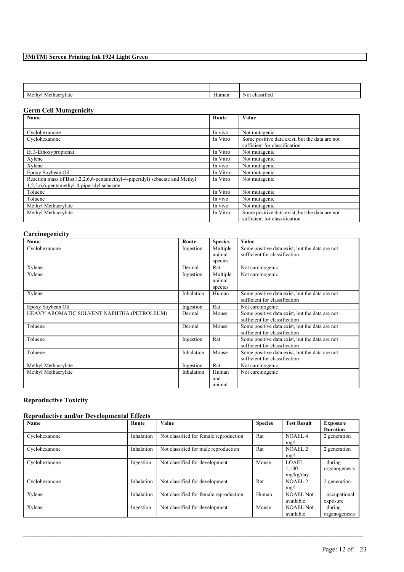| Methy'       | $\mathbf{v}$ | classified |
|--------------|--------------|------------|
| Methacrylate | Human        | No         |

### **Germ Cell Mutagenicity**

| Name                                                                        | Route    | Value                                                                           |
|-----------------------------------------------------------------------------|----------|---------------------------------------------------------------------------------|
|                                                                             |          |                                                                                 |
| Cyclohexanone                                                               | In vivo  | Not mutagenic                                                                   |
| Cyclohexanone                                                               | In Vitro | Some positive data exist, but the data are not<br>sufficient for classification |
| Et 3-Ethoxypropionat                                                        | In Vitro | Not mutagenic                                                                   |
| Xylene                                                                      | In Vitro | Not mutagenic                                                                   |
| Xylene                                                                      | In vivo  | Not mutagenic                                                                   |
| Epoxy Soybean Oil                                                           | In Vitro | Not mutagenic                                                                   |
| Reaction mass of Bis(1,2,2,6,6-pentamethyl-4-piperidyl) sebacate and Methyl | In Vitro | Not mutagenic                                                                   |
| 1,2,2,6,6-pentamethyl-4-piperidyl sebacate                                  |          |                                                                                 |
| Toluene                                                                     | In Vitro | Not mutagenic                                                                   |
| Toluene                                                                     | In vivo  | Not mutagenic                                                                   |
| Methyl Methacrylate                                                         | In vivo  | Not mutagenic                                                                   |
| Methyl Methacrylate                                                         | In Vitro | Some positive data exist, but the data are not<br>sufficient for classification |

### **Carcinogenicity**

| Name                                       | Route      | <b>Species</b> | Value                                          |
|--------------------------------------------|------------|----------------|------------------------------------------------|
| Cyclohexanone                              | Ingestion  | Multiple       | Some positive data exist, but the data are not |
|                                            |            | animal         | sufficient for classification                  |
|                                            |            | species        |                                                |
| Xylene                                     | Dermal     | Rat            | Not carcinogenic                               |
| Xylene                                     | Ingestion  | Multiple       | Not carcinogenic                               |
|                                            |            | animal         |                                                |
|                                            |            | species        |                                                |
| Xylene                                     | Inhalation | Human          | Some positive data exist, but the data are not |
|                                            |            |                | sufficient for classification                  |
| Epoxy Soybean Oil                          | Ingestion  | Rat            | Not carcinogenic                               |
| HEAVY AROMATIC SOLVENT NAPHTHA (PETROLEUM) | Dermal     | Mouse          | Some positive data exist, but the data are not |
|                                            |            |                | sufficient for classification                  |
| Toluene                                    | Dermal     | Mouse          | Some positive data exist, but the data are not |
|                                            |            |                | sufficient for classification                  |
| Toluene                                    | Ingestion  | Rat            | Some positive data exist, but the data are not |
|                                            |            |                | sufficient for classification                  |
| Toluene                                    | Inhalation | Mouse          | Some positive data exist, but the data are not |
|                                            |            |                | sufficient for classification                  |
| Methyl Methacrylate                        | Ingestion  | Rat            | Not carcinogenic                               |
| Methyl Methacrylate                        | Inhalation | Human          | Not carcinogenic                               |
|                                            |            | and            |                                                |
|                                            |            | animal         |                                                |

# **Reproductive Toxicity**

# **Reproductive and/or Developmental Effects**

| <b>Name</b>   | Route      | <b>Value</b>                           | <b>Species</b> | <b>Test Result</b> | <b>Exposure</b> |
|---------------|------------|----------------------------------------|----------------|--------------------|-----------------|
|               |            |                                        |                |                    | <b>Duration</b> |
| Cyclohexanone | Inhalation | Not classified for female reproduction | Rat            | <b>NOAEL4</b>      | 2 generation    |
|               |            |                                        |                | mg/l               |                 |
| Cyclohexanone | Inhalation | Not classified for male reproduction   | Rat            | NOAEL <sub>2</sub> | 2 generation    |
|               |            |                                        |                | mg/l               |                 |
| Cyclohexanone | Ingestion  | Not classified for development         | Mouse          | LOAEL.             | during          |
|               |            |                                        |                | 1,100              | organogenesis   |
|               |            |                                        |                | mg/kg/day          |                 |
| Cyclohexanone | Inhalation | Not classified for development         | Rat            | NOAEL <sub>2</sub> | 2 generation    |
|               |            |                                        |                | mg/l               |                 |
| Xylene        | Inhalation | Not classified for female reproduction | Human          | <b>NOAEL Not</b>   | occupational    |
|               |            |                                        |                | available          | exposure        |
| Xylene        | Ingestion  | Not classified for development         | Mouse          | <b>NOAEL Not</b>   | during          |
|               |            |                                        |                | available          | organogenesis   |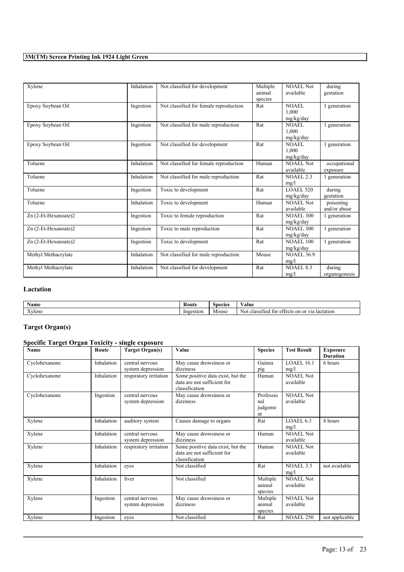| Xylene               | Inhalation | Not classified for development         | Multiple<br>animal<br>species | NOAEL Not<br>available             | during<br>gestation       |
|----------------------|------------|----------------------------------------|-------------------------------|------------------------------------|---------------------------|
| Epoxy Soybean Oil    | Ingestion  | Not classified for female reproduction | Rat                           | <b>NOAEL</b><br>1.000<br>mg/kg/day | 1 generation              |
| Epoxy Soybean Oil    | Ingestion  | Not classified for male reproduction   | Rat                           | NOAEL<br>1.000<br>mg/kg/day        | generation                |
| Epoxy Soybean Oil    | Ingestion  | Not classified for development         | Rat                           | NOAEL<br>1.000<br>mg/kg/day        | 1 generation              |
| Toluene              | Inhalation | Not classified for female reproduction | Human                         | NOAEL Not<br>available             | occupational<br>exposure  |
| Toluene              | Inhalation | Not classified for male reproduction   | Rat                           | <b>NOAEL 2.3</b><br>mg/l           | 1 generation              |
| Toluene              | Ingestion  | Toxic to development                   | Rat                           | <b>LOAEL 520</b><br>mg/kg/day      | during<br>gestation       |
| Toluene              | Inhalation | Toxic to development                   | Human                         | NOAEL Not<br>available             | poisoning<br>and/or abuse |
| Zn (2-Et-Hexanoate)2 | Ingestion  | Toxic to female reproduction           | Rat                           | <b>NOAEL 300</b><br>mg/kg/day      | 1 generation              |
| Zn (2-Et-Hexanoate)2 | Ingestion  | Toxic to male reproduction             | Rat                           | <b>NOAEL 300</b><br>mg/kg/day      | 1 generation              |
| Zn (2-Et-Hexanoate)2 | Ingestion  | Toxic to development                   | Rat                           | <b>NOAEL 100</b><br>mg/kg/day      | 1 generation              |
| Methyl Methacrylate  | Inhalation | Not classified for male reproduction   | Mouse                         | <b>NOAEL 36.9</b><br>mg/l          |                           |
| Methyl Methacrylate  | Inhalation | Not classified for development         | Rat                           | <b>NOAEL 8.3</b><br>mg/l           | during<br>organogenesis   |

### **Lactation**

| Name           | Rout      | snecies | ⁄ alue                                                                                        |
|----------------|-----------|---------|-----------------------------------------------------------------------------------------------|
| $ -$<br>Xvlene | Ingestion | Mouse   | lactation<br>tσ<br>. or<br>N0<br>on<br>$. \triangle^+$<br>T/T<br>class.<br>$\sim$<br>1е.<br>ю |

# **Target Organ(s)**

# **Specific Target Organ Toxicity - single exposure**

| Name          | Route      | <b>Target Organ(s)</b> | Value                             | <b>Species</b> | <b>Test Result</b> | <b>Exposure</b><br><b>Duration</b> |
|---------------|------------|------------------------|-----------------------------------|----------------|--------------------|------------------------------------|
|               |            |                        |                                   |                |                    |                                    |
| Cyclohexanone | Inhalation | central nervous        | May cause drowsiness or           | Guinea         | LOAEL 16.1         | 6 hours                            |
|               |            | system depression      | dizziness                         | pig            | mg/l               |                                    |
| Cyclohexanone | Inhalation | respiratory irritation | Some positive data exist, but the | Human          | <b>NOAEL Not</b>   |                                    |
|               |            |                        | data are not sufficient for       |                | available          |                                    |
|               |            |                        | classification                    |                |                    |                                    |
| Cyclohexanone | Ingestion  | central nervous        | May cause drowsiness or           | Professio      | <b>NOAEL Not</b>   |                                    |
|               |            | system depression      | dizziness                         | nal            | available          |                                    |
|               |            |                        |                                   | judgeme        |                    |                                    |
|               |            |                        |                                   | nt             |                    |                                    |
| Xylene        | Inhalation | auditory system        | Causes damage to organs           | Rat            | LOAEL 6.3          | 8 hours                            |
|               |            |                        |                                   |                | mg/l               |                                    |
| Xylene        | Inhalation | central nervous        | May cause drowsiness or           | Human          | <b>NOAEL Not</b>   |                                    |
|               |            | system depression      | dizziness                         |                | available          |                                    |
| Xylene        | Inhalation | respiratory irritation | Some positive data exist, but the | Human          | <b>NOAEL Not</b>   |                                    |
|               |            |                        | data are not sufficient for       |                | available          |                                    |
|               |            |                        | classification                    |                |                    |                                    |
| Xylene        | Inhalation | eves                   | Not classified                    | Rat            | NOAEL 3.5          | not available                      |
|               |            |                        |                                   |                | mg/l               |                                    |
| Xylene        | Inhalation | liver                  | Not classified                    | Multiple       | <b>NOAEL Not</b>   |                                    |
|               |            |                        |                                   | animal         | available          |                                    |
|               |            |                        |                                   | species        |                    |                                    |
| Xylene        | Ingestion  | central nervous        | May cause drowsiness or           | Multiple       | <b>NOAEL Not</b>   |                                    |
|               |            | system depression      | dizziness                         | animal         | available          |                                    |
|               |            |                        |                                   | species        |                    |                                    |
| Xylene        | Ingestion  | eves                   | Not classified                    | Rat            | <b>NOAEL 250</b>   | not applicable                     |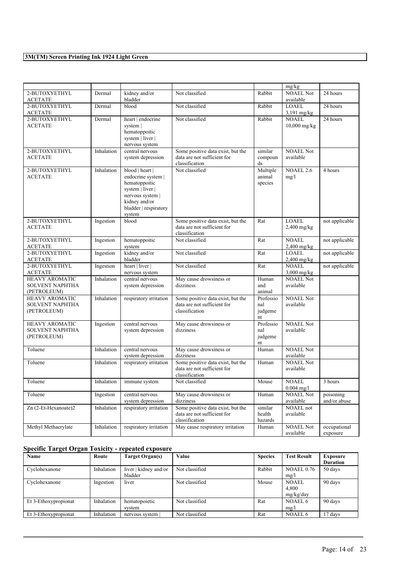|                                                                |            |                                                                                                                                                    |                                                                                    |                                              | mg/kg                          |                           |
|----------------------------------------------------------------|------------|----------------------------------------------------------------------------------------------------------------------------------------------------|------------------------------------------------------------------------------------|----------------------------------------------|--------------------------------|---------------------------|
| 2-BUTOXYETHYL<br>ACETATE                                       | Dermal     | kidney and/or<br>bladder                                                                                                                           | Not classified                                                                     | Rabbit                                       | <b>NOAEL Not</b><br>available  | 24 hours                  |
| 2-BUTOXYETHYL<br><b>ACETATE</b>                                | Dermal     | blood                                                                                                                                              | Not classified                                                                     | Rabbit                                       | LOAEL<br>$3,191$ mg/kg         | 24 hours                  |
| 2-BUTOXYETHYL<br><b>ACETATE</b>                                | Dermal     | heart   endocrine<br>system  <br>hematoppoitic<br>system   liver  <br>nervous system                                                               | Not classified                                                                     | Rabbit                                       | <b>NOAEL</b><br>$10,000$ mg/kg | 24 hours                  |
| 2-BUTOXYETHYL<br><b>ACETATE</b>                                | Inhalation | central nervous<br>system depression                                                                                                               | Some positive data exist, but the<br>data are not sufficient for<br>classification | similar<br>compoun<br>$\mathrm{d}\mathrm{s}$ | <b>NOAEL Not</b><br>available  |                           |
| 2-BUTOXYETHYL<br><b>ACETATE</b>                                | Inhalation | blood   heart  <br>endocrine system  <br>hematoppoitic<br>system   liver  <br>nervous system  <br>kidney and/or<br>bladder   respiratory<br>system | Not classified                                                                     | Multiple<br>animal<br>species                | $NOAEL$ <sub>2.6</sub><br>mg/l | 4 hours                   |
| 2-BUTOXYETHYL<br><b>ACETATE</b>                                | Ingestion  | blood                                                                                                                                              | Some positive data exist, but the<br>data are not sufficient for<br>classification | Rat                                          | <b>LOAEL</b><br>$2,400$ mg/kg  | not applicable            |
| 2-BUTOXYETHYL<br><b>ACETATE</b>                                | Ingestion  | hematoppoitic<br>system                                                                                                                            | Not classified                                                                     | Rat                                          | <b>NOAEL</b><br>$2,400$ mg/kg  | not applicable            |
| 2-BUTOXYETHYL<br><b>ACETATE</b>                                | Ingestion  | kidney and/or<br>bladder                                                                                                                           | Not classified                                                                     | Rat                                          | <b>LOAEL</b><br>2,400 mg/kg    | not applicable            |
| 2-BUTOXYETHYL<br><b>ACETATE</b>                                | Ingestion  | heart   liver  <br>nervous system                                                                                                                  | Not classified                                                                     | Rat                                          | <b>NOAEL</b><br>$3,000$ mg/kg  | not applicable            |
| <b>HEAVY AROMATIC</b><br><b>SOLVENT NAPHTHA</b><br>(PETROLEUM) | Inhalation | central nervous<br>system depression                                                                                                               | May cause drowsiness or<br>dizziness                                               | Human<br>and<br>animal                       | <b>NOAEL Not</b><br>available  |                           |
| <b>HEAVY AROMATIC</b><br><b>SOLVENT NAPHTHA</b><br>(PETROLEUM) | Inhalation | respiratory irritation                                                                                                                             | Some positive data exist, but the<br>data are not sufficient for<br>classification | Professio<br>nal<br>judgeme<br>nt            | <b>NOAEL Not</b><br>available  |                           |
| <b>HEAVY AROMATIC</b><br><b>SOLVENT NAPHTHA</b><br>(PETROLEUM) | Ingestion  | central nervous<br>system depression                                                                                                               | May cause drowsiness or<br>dizziness                                               | Professio<br>nal<br>judgeme<br>nt            | <b>NOAEL Not</b><br>available  |                           |
| Toluene                                                        | Inhalation | central nervous<br>system depression                                                                                                               | May cause drowsiness or<br>dizziness                                               | Human                                        | <b>NOAEL Not</b><br>available  |                           |
| Toluene                                                        | Inhalation | respiratory irritation                                                                                                                             | Some positive data exist, but the<br>data are not sufficient for<br>classification | Human                                        | <b>NOAEL Not</b><br>available  |                           |
| Toluene                                                        | Inhalation | immune system                                                                                                                                      | Not classified                                                                     | Mouse                                        | <b>NOAEL</b><br>$0.004$ mg/l   | 3 hours                   |
| Toluene                                                        | Ingestion  | central nervous<br>system depression                                                                                                               | May cause drowsiness or<br>dizziness                                               | Human                                        | <b>NOAEL Not</b><br>available  | poisoning<br>and/or abuse |
| Zn (2-Et-Hexanoate)2                                           | Inhalation | respiratory irritation                                                                                                                             | Some positive data exist, but the<br>data are not sufficient for<br>classification | similar<br>health<br>hazards                 | <b>NOAEL</b> not<br>available  |                           |
| Methyl Methacrylate                                            | Inhalation | respiratory irritation                                                                                                                             | May cause respiratory irritation                                                   | Human                                        | <b>NOAEL Not</b><br>available  | occupational<br>exposure  |

### **Specific Target Organ Toxicity - repeated exposure**

| Name                 | Route      | Target Organ(s)       | Value          | <b>Species</b> | <b>Test Result</b> | <b>Exposure</b> |
|----------------------|------------|-----------------------|----------------|----------------|--------------------|-----------------|
|                      |            |                       |                |                |                    | <b>Duration</b> |
| Cyclohexanone        | Inhalation | liver   kidney and/or | Not classified | Rabbit         | <b>NOAEL 0.76</b>  | 50 days         |
|                      |            | bladder               |                |                | mg/l               |                 |
| Cyclohexanone        | Ingestion  | liver                 | Not classified | Mouse          | <b>NOAEL</b>       | 90 days         |
|                      |            |                       |                |                | 4.800              |                 |
|                      |            |                       |                |                | mg/kg/day          |                 |
| Et 3-Ethoxypropionat | Inhalation | hematopoietic         | Not classified | Rat            | NOAEL 6            | 90 days         |
|                      |            | system                |                |                | mg/l               |                 |
| Et 3-Ethoxypropionat | Inhalation | nervous system        | Not classified | Rat            | NOAEL 6            | 17 days         |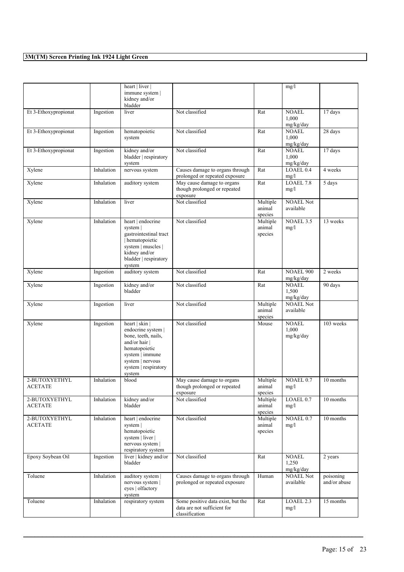|                                 |            | heart   liver  <br>immune system  <br>kidney and/or<br>bladder                                                                                                           |                                                                                                             |                               | mg/l                               |                           |
|---------------------------------|------------|--------------------------------------------------------------------------------------------------------------------------------------------------------------------------|-------------------------------------------------------------------------------------------------------------|-------------------------------|------------------------------------|---------------------------|
| Et 3-Ethoxypropionat            | Ingestion  | liver                                                                                                                                                                    | Not classified                                                                                              | Rat                           | <b>NOAEL</b><br>1,000<br>mg/kg/day | 17 days                   |
| Et 3-Ethoxypropionat            | Ingestion  | hematopoietic<br>system                                                                                                                                                  | Not classified                                                                                              | Rat                           | <b>NOAEL</b><br>1,000<br>mg/kg/day | 28 days                   |
| Et 3-Ethoxypropionat            | Ingestion  | kidney and/or<br>bladder   respiratory<br>system                                                                                                                         | Not classified                                                                                              | Rat                           | <b>NOAEL</b><br>1,000<br>mg/kg/day | 17 days                   |
| Xylene                          | Inhalation | nervous system                                                                                                                                                           | Causes damage to organs through<br>prolonged or repeated exposure                                           | Rat                           | LOAEL 0.4<br>mg/l                  | 4 weeks                   |
| Xylene                          | Inhalation | auditory system                                                                                                                                                          | May cause damage to organs<br>though prolonged or repeated<br>exposure                                      | Rat                           | LOAEL 7.8<br>mg/l                  | 5 days                    |
| Xylene                          | Inhalation | liver                                                                                                                                                                    | Not classified                                                                                              | Multiple<br>animal<br>species | <b>NOAEL Not</b><br>available      |                           |
| Xylene                          | Inhalation | heart   endocrine<br>system<br>gastrointestinal tract<br>hematopoietic<br>system   muscles  <br>kidney and/or<br>bladder   respiratory<br>system                         | Not classified                                                                                              | Multiple<br>animal<br>species | NOAEL 3.5<br>mg/l                  | 13 weeks                  |
| Xylene                          | Ingestion  | auditory system                                                                                                                                                          | Not classified                                                                                              | Rat                           | <b>NOAEL 900</b><br>mg/kg/day      | 2 weeks                   |
| Xylene                          | Ingestion  | kidney and/or<br>bladder                                                                                                                                                 | Not classified                                                                                              | Rat                           | <b>NOAEL</b><br>1,500<br>mg/kg/day | 90 days                   |
| Xylene                          | Ingestion  | liver                                                                                                                                                                    | Not classified                                                                                              | Multiple<br>animal<br>species | <b>NOAEL Not</b><br>available      |                           |
| Xylene                          | Ingestion  | heart   skin  <br>endocrine system  <br>bone, teeth, nails,<br>and/or hair $ $<br>hematopoietic<br>system   immune<br>system   nervous<br>system   respiratory<br>system | Not classified                                                                                              | Mouse                         | <b>NOAEL</b><br>1,000<br>mg/kg/day | 103 weeks                 |
| 2-BUTOXYETHYL<br>ACETATE        | Inhalation | blood                                                                                                                                                                    | May cause damage to organs<br>though prolonged or repeated<br>exposure                                      | Multiple<br>animal<br>species | NOAEL 0.7<br>mg/l                  | 10 months                 |
| 2-BUTOXYETHYL<br><b>ACETATE</b> | Inhalation | kidney and/or<br>bladder                                                                                                                                                 | Not classified                                                                                              | Multiple<br>animal<br>species | LOAEL 0.7<br>mg/l                  | 10 months                 |
| 2-BUTOXYETHYL<br><b>ACETATE</b> | Inhalation | heart   endocrine<br>system  <br>hematopoietic<br>system   liver  <br>nervous system  <br>respiratory system                                                             | Not classified                                                                                              | Multiple<br>animal<br>species | NOAEL 0.7<br>mg/l                  | 10 months                 |
| Epoxy Soybean Oil               | Ingestion  | liver   kidney and/or<br>bladder                                                                                                                                         | Not classified                                                                                              | Rat                           | <b>NOAEL</b><br>1,250<br>mg/kg/day | 2 years                   |
| Toluene                         | Inhalation | auditory system  <br>nervous system  <br>eyes   olfactory<br>system                                                                                                      | Causes damage to organs through<br>Human<br><b>NOAEL Not</b><br>prolonged or repeated exposure<br>available |                               |                                    | poisoning<br>and/or abuse |
| Toluene                         | Inhalation | respiratory system                                                                                                                                                       | Some positive data exist, but the<br>data are not sufficient for<br>classification                          | Rat                           | LOAEL 2.3<br>mg/l                  | 15 months                 |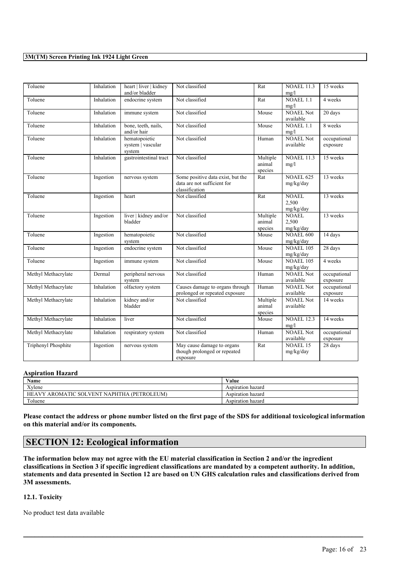| Toluene             | Inhalation | heart   liver   kidney<br>and/or bladder     | Not classified                                                                     | Rat                           | <b>NOAEL 11.3</b><br>mg/l          | 15 weeks                 |
|---------------------|------------|----------------------------------------------|------------------------------------------------------------------------------------|-------------------------------|------------------------------------|--------------------------|
| Toluene             | Inhalation | endocrine system                             | Not classified                                                                     | Rat                           | $NOAEL$ 1.1<br>mg/l                | 4 weeks                  |
| Toluene             | Inhalation | immune system                                | Not classified                                                                     | Mouse                         | <b>NOAEL Not</b><br>available      | 20 days                  |
| Toluene             | Inhalation | bone, teeth, nails,<br>and/or hair           | Not classified                                                                     | Mouse                         | <b>NOAEL 1.1</b><br>mg/l           | 8 weeks                  |
| Toluene             | Inhalation | hematopoietic<br>system   vascular<br>system | Not classified                                                                     | Human                         | <b>NOAEL Not</b><br>available      | occupational<br>exposure |
| Toluene             | Inhalation | gastrointestinal tract                       | Not classified                                                                     | Multiple<br>animal<br>species | <b>NOAEL 11.3</b><br>mg/l          | 15 weeks                 |
| Toluene             | Ingestion  | nervous system                               | Some positive data exist, but the<br>data are not sufficient for<br>classification | Rat                           | <b>NOAEL 625</b><br>mg/kg/day      | 13 weeks                 |
| Toluene             | Ingestion  | heart                                        | Not classified                                                                     | Rat                           | <b>NOAEL</b><br>2.500<br>mg/kg/day | 13 weeks                 |
| Toluene             | Ingestion  | liver   kidney and/or<br>bladder             | Not classified                                                                     | Multiple<br>animal<br>species | <b>NOAEL</b><br>2,500<br>mg/kg/day | 13 weeks                 |
| Toluene             | Ingestion  | hematopoietic<br>system                      | Not classified                                                                     | Mouse                         | <b>NOAEL 600</b><br>mg/kg/day      | 14 days                  |
| Toluene             | Ingestion  | endocrine system                             | Not classified                                                                     | Mouse                         | <b>NOAEL 105</b><br>mg/kg/day      | 28 days                  |
| Toluene             | Ingestion  | immune system                                | Not classified                                                                     | Mouse                         | <b>NOAEL 105</b><br>mg/kg/day      | 4 weeks                  |
| Methyl Methacrylate | Dermal     | peripheral nervous<br>system                 | Not classified                                                                     | Human                         | <b>NOAEL Not</b><br>available      | occupational<br>exposure |
| Methyl Methacrylate | Inhalation | olfactory system                             | Causes damage to organs through<br>prolonged or repeated exposure                  | Human                         | <b>NOAEL Not</b><br>available      | occupational<br>exposure |
| Methyl Methacrylate | Inhalation | kidney and/or<br>bladder                     | Not classified                                                                     | Multiple<br>animal<br>species | <b>NOAEL Not</b><br>available      | 14 weeks                 |
| Methyl Methacrylate | Inhalation | liver                                        | Not classified                                                                     | Mouse                         | <b>NOAEL 12.3</b><br>mg/l          | 14 weeks                 |
| Methyl Methacrylate | Inhalation | respiratory system                           | Not classified                                                                     | Human                         | <b>NOAEL Not</b><br>available      | occupational<br>exposure |
| Triphenyl Phosphite | Ingestion  | nervous system                               | May cause damage to organs<br>though prolonged or repeated<br>exposure             | Rat                           | <b>NOAEL 15</b><br>mg/kg/day       | 28 days                  |

#### **Aspiration Hazard**

| <b>Name</b>                                                   | Value             |
|---------------------------------------------------------------|-------------------|
| Xvlene                                                        | Aspiration hazard |
| <b>(PETROL</b><br>AROMATIC SOLVENT NAPHTHA<br>HEAVY,<br>LEUM) | Aspiration hazard |
| Toluene                                                       | Aspiration hazard |

Please contact the address or phone number listed on the first page of the SDS for additional toxicological information **on this material and/or its components.**

# **SECTION 12: Ecological information**

The information below may not agree with the EU material classification in Section 2 and/or the ingredient classifications in Section 3 if specific ingredient classifications are mandated by a competent authority. In addition, statements and data presented in Section 12 are based on UN GHS calculation rules and classifications derived from **3M assessments.**

 $\mathcal{L}_\mathcal{L} = \mathcal{L}_\mathcal{L} = \mathcal{L}_\mathcal{L} = \mathcal{L}_\mathcal{L} = \mathcal{L}_\mathcal{L} = \mathcal{L}_\mathcal{L} = \mathcal{L}_\mathcal{L} = \mathcal{L}_\mathcal{L} = \mathcal{L}_\mathcal{L} = \mathcal{L}_\mathcal{L} = \mathcal{L}_\mathcal{L} = \mathcal{L}_\mathcal{L} = \mathcal{L}_\mathcal{L} = \mathcal{L}_\mathcal{L} = \mathcal{L}_\mathcal{L} = \mathcal{L}_\mathcal{L} = \mathcal{L}_\mathcal{L}$ 

#### **12.1. Toxicity**

No product test data available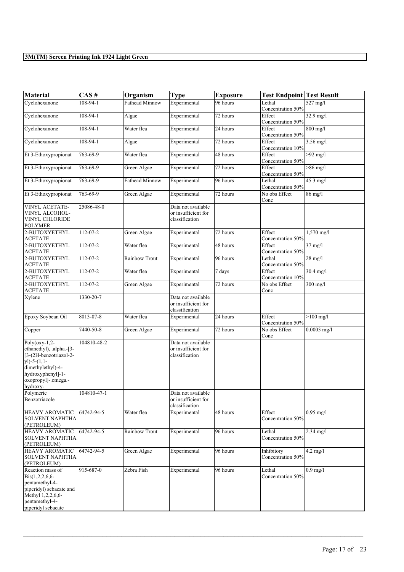| <b>Material</b>                                                                                                                                                          | CAS#           | Organism       | <b>Type</b>                                                 | <b>Exposure</b> | <b>Test Endpoint Test Result</b> |                   |
|--------------------------------------------------------------------------------------------------------------------------------------------------------------------------|----------------|----------------|-------------------------------------------------------------|-----------------|----------------------------------|-------------------|
| Cyclohexanone                                                                                                                                                            | 108-94-1       | Fathead Minnow | Experimental                                                | 96 hours        | Lethal<br>Concentration 50%      | 527 mg/l          |
| Cyclohexanone                                                                                                                                                            | 108-94-1       | Algae          | Experimental                                                | 72 hours        | Effect<br>Concentration 50%      | 32.9 mg/l         |
| Cyclohexanone                                                                                                                                                            | 108-94-1       | Water flea     | Experimental                                                | 24 hours        | Effect<br>Concentration 50%      | 800 mg/l          |
| Cyclohexanone                                                                                                                                                            | 108-94-1       | Algae          | Experimental                                                | 72 hours        | Effect<br>Concentration 10%      | $3.56$ mg/l       |
| Et 3-Ethoxypropionat                                                                                                                                                     | 763-69-9       | Water flea     | Experimental                                                | 48 hours        | Effect<br>Concentration 50%      | $>92$ mg/l        |
| Et 3-Ethoxypropionat                                                                                                                                                     | 763-69-9       | Green Algae    | Experimental                                                | 72 hours        | Effect<br>Concentration 50%      | $>86$ mg/l        |
| Et 3-Ethoxypropionat                                                                                                                                                     | 763-69-9       | Fathead Minnow | Experimental                                                | 96 hours        | Lethal<br>Concentration 50%      | 45.3 mg/l         |
| Et 3-Ethoxypropionat                                                                                                                                                     | 763-69-9       | Green Algae    | Experimental                                                | 72 hours        | No obs Effect<br>Conc            | 86 mg/l           |
| <b>VINYL ACETATE-</b><br>VINYL ALCOHOL-<br>VINYL CHLORIDE<br><b>POLYMER</b>                                                                                              | 25086-48-0     |                | Data not available<br>or insufficient for<br>classification |                 |                                  |                   |
| 2-BUTOXYETHYL<br>ACETATE                                                                                                                                                 | 112-07-2       | Green Algae    | Experimental                                                | 72 hours        | Effect<br>Concentration 50%      | 1,570 mg/l        |
| 2-BUTOXYETHYL<br>ACETATE                                                                                                                                                 | 112-07-2       | Water flea     | Experimental                                                | 48 hours        | Effect<br>Concentration 50%      | $37$ mg/l         |
| 2-BUTOXYETHYL<br><b>ACETATE</b>                                                                                                                                          | $112 - 07 - 2$ | Rainbow Trout  | Experimental                                                | 96 hours        | Lethal<br>Concentration 50%      | $28 \text{ mg/l}$ |
| 2-BUTOXYETHYL<br>ACETATE                                                                                                                                                 | 112-07-2       | Water flea     | Experimental                                                | 7 days          | Effect<br>Concentration 10%      | $30.4$ mg/l       |
| 2-BUTOXYETHYL<br><b>ACETATE</b>                                                                                                                                          | 112-07-2       | Green Algae    | Experimental                                                | 72 hours        | No obs Effect<br>Conc            | $300$ mg/l        |
| Xylene                                                                                                                                                                   | 1330-20-7      |                | Data not available<br>or insufficient for<br>classification |                 |                                  |                   |
| Epoxy Soybean Oil                                                                                                                                                        | 8013-07-8      | Water flea     | Experimental                                                | 24 hours        | Effect<br>Concentration 50%      | $>100$ mg/l       |
| Copper                                                                                                                                                                   | 7440-50-8      | Green Algae    | Experimental                                                | 72 hours        | No obs Effect<br>Conc            | $0.0003$ mg/l     |
| $Poly($ oxy-1,2-<br>ethanediyl), .alpha.-[3-<br>[3-(2H-benzotriazol-2-<br>$y$ ])-5- $(1,1-$<br>dimethylethyl)-4-<br>hydroxyphenyl]-1-<br>oxopropyl]-.omega.-<br>hydroxy- | 104810-48-2    |                | Data not available<br>or insufficient for<br>classification |                 |                                  |                   |
| Polymeric<br>Benzotriazole                                                                                                                                               | 104810-47-1    |                | Data not available<br>or insufficient for<br>classification |                 |                                  |                   |
| <b>HEAVY AROMATIC</b><br><b>SOLVENT NAPHTHA</b><br>(PETROLEUM)                                                                                                           | 64742-94-5     | Water flea     | Experimental                                                | 48 hours        | Effect<br>Concentration 50%      | $0.95$ mg/l       |
| <b>HEAVY AROMATIC</b><br><b>SOLVENT NAPHTHA</b><br>(PETROLEUM)                                                                                                           | 64742-94-5     | Rainbow Trout  | Experimental                                                | 96 hours        | Lethal<br>Concentration 50%      | 2.34 mg/l         |
| <b>HEAVY AROMATIC</b><br><b>SOLVENT NAPHTHA</b><br>(PETROLEUM)                                                                                                           | 64742-94-5     | Green Algae    | Experimental                                                | 96 hours        | Inhibitory<br>Concentration 50%  | $4.2$ mg/l        |
| Reaction mass of<br>$Bis(1,2,2,6,6-$<br>pentamethyl-4-<br>piperidyl) sebacate and<br>Methyl 1,2,2,6,6-<br>pentamethyl-4-<br>piperidyl sebacate                           | 915-687-0      | Zebra Fish     | Experimental                                                | 96 hours        | Lethal<br>Concentration 50%      | $0.9$ mg/l        |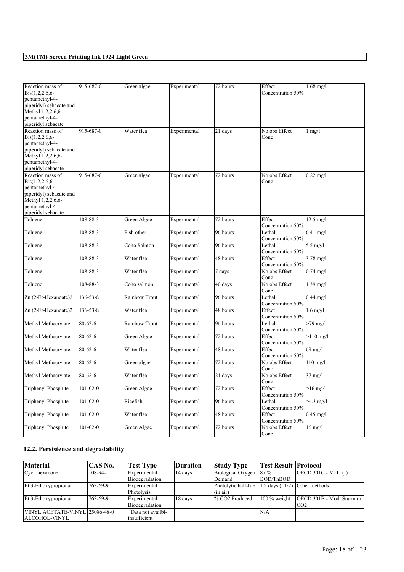| Reaction mass of                             | 915-687-0      | Green algae          | Experimental | 72 hours | Effect                      | $1.68$ mg/l          |
|----------------------------------------------|----------------|----------------------|--------------|----------|-----------------------------|----------------------|
| $Bis(1,2,2,6,6-$                             |                |                      |              |          | Concentration 50%           |                      |
| pentamethyl-4-                               |                |                      |              |          |                             |                      |
| piperidyl) sebacate and<br>Methyl 1,2,2,6,6- |                |                      |              |          |                             |                      |
| pentamethyl-4-                               |                |                      |              |          |                             |                      |
| piperidyl sebacate                           |                |                      |              |          |                             |                      |
| Reaction mass of                             | 915-687-0      | Water flea           | Experimental | 21 days  | No obs Effect               | $1$ mg/ $1$          |
| $\text{Bis}(1,2,2,6,6-$                      |                |                      |              |          | Conc                        |                      |
| pentamethyl-4-                               |                |                      |              |          |                             |                      |
| piperidyl) sebacate and                      |                |                      |              |          |                             |                      |
| Methyl 1,2,2,6,6-                            |                |                      |              |          |                             |                      |
| pentamethyl-4-                               |                |                      |              |          |                             |                      |
| piperidyl sebacate                           |                |                      |              |          |                             |                      |
| Reaction mass of<br>$\text{Bis}(1,2,2,6,6-$  | 915-687-0      | Green algae          | Experimental | 72 hours | No obs Effect<br>Conc       | $0.22$ mg/l          |
| pentamethyl-4-                               |                |                      |              |          |                             |                      |
| piperidyl) sebacate and                      |                |                      |              |          |                             |                      |
| Methyl 1,2,2,6,6-                            |                |                      |              |          |                             |                      |
| pentamethyl-4-                               |                |                      |              |          |                             |                      |
| piperidyl sebacate                           |                |                      |              |          |                             |                      |
| Toluene                                      | 108-88-3       | Green Algae          | Experimental | 72 hours | Effect                      | $12.5 \text{ mg}/1$  |
|                                              |                |                      |              |          | Concentration 50%           |                      |
| Toluene                                      | 108-88-3       | Fish other           | Experimental | 96 hours | Lethal                      | 6.41 mg/l            |
|                                              |                |                      |              |          | Concentration 50%           |                      |
| Toluene                                      | 108-88-3       | Coho Salmon          | Experimental | 96 hours | Lethal<br>Concentration 50% | $5.5$ mg/l           |
| Toluene                                      | 108-88-3       | Water flea           | Experimental | 48 hours | Effect                      | 3.78 mg/l            |
|                                              |                |                      |              |          | Concentration 50%           |                      |
| Toluene                                      | 108-88-3       | Water flea           | Experimental | 7 days   | No obs Effect               | $0.74$ mg/l          |
|                                              |                |                      |              |          | Conc                        |                      |
| Toluene                                      | 108-88-3       | Coho salmon          | Experimental | 40 days  | No obs Effect               | $1.39$ mg/l          |
|                                              |                |                      |              |          | Conc                        |                      |
| Zn (2-Et-Hexanoate)2                         | 136-53-8       | <b>Rainbow Trout</b> | Experimental | 96 hours | Lethal                      | $0.44 \text{ mg}$ /l |
|                                              |                |                      |              |          | Concentration 50%           |                      |
| Zn (2-Et-Hexanoate)2                         | $136 - 53 - 8$ | Water flea           | Experimental | 48 hours | Effect                      | $1.6$ mg/l           |
|                                              | $80 - 62 - 6$  | <b>Rainbow Trout</b> |              | 96 hours | Concentration 50%<br>Lethal |                      |
| Methyl Methacrylate                          |                |                      | Experimental |          | Concentration 50%           | $>79$ mg/l           |
| Methyl Methacrylate                          | $80 - 62 - 6$  | Green Algae          | Experimental | 72 hours | Effect                      | $>110$ mg/l          |
|                                              |                |                      |              |          | Concentration 50%           |                      |
| Methyl Methacrylate                          | $80 - 62 - 6$  | Water flea           | Experimental | 48 hours | Effect                      | $69$ mg/l            |
|                                              |                |                      |              |          | Concentration 50%           |                      |
| Methyl Methacrylate                          | $80 - 62 - 6$  | Green algae          | Experimental | 72 hours | No obs Effect               | $110$ mg/l           |
|                                              |                |                      |              |          | Conc                        |                      |
| Methyl Methacrylate                          | $80 - 62 - 6$  | Water flea           | Experimental | 21 days  | No obs Effect               | $37$ mg/l            |
|                                              |                |                      |              |          | Conc                        |                      |
| Triphenyl Phosphite                          | $101 - 02 - 0$ | Green Algae          | Experimental | 72 hours | Effect                      | $>16$ mg/l           |
|                                              |                |                      |              |          | Concentration 50%           |                      |
| Triphenyl Phosphite                          | $101 - 02 - 0$ | Ricefish             | Experimental | 96 hours | Lethal<br>Concentration 50% | $>4.3$ mg/l          |
| Triphenyl Phosphite                          | $101 - 02 - 0$ | Water flea           | Experimental | 48 hours | Effect                      | $0.45$ mg/l          |
|                                              |                |                      |              |          | Concentration 50%           |                      |
| Triphenyl Phosphite                          | $101 - 02 - 0$ | Green Algae          | Experimental | 72 hours | No obs Effect               | $16$ mg/l            |
|                                              |                |                      |              |          | Conc                        |                      |

### **12.2. Persistence and degradability**

| <b>Material</b>                                 | CAS No.   | <b>Test Type</b>                   | Duration | <b>Study Type</b>                 | Test Result  Protocol             |                                                   |
|-------------------------------------------------|-----------|------------------------------------|----------|-----------------------------------|-----------------------------------|---------------------------------------------------|
| Cyclohexanone                                   | 108-94-1  | Experimental<br>Biodegradation     | 14 days  | Biological Oxygen<br>Demand       | 187%<br>BOD/ThBOD                 | $[OECD 301C - MITI (I)]$                          |
| Et 3-Ethoxypropionat                            | 1763-69-9 | Experimental<br>Photolysis         |          | Photolytic half-life<br>l(in air) | 1.2 days (t $1/2$ ) Other methods |                                                   |
| Et 3-Ethoxypropionat                            | 1763-69-9 | Experimental<br>Biodegradation     | 18 days  | 1% CO2 Produced                   | $100\%$ weight                    | $[OECD 301B - Mod. Sturm or]$<br>ICO <sub>2</sub> |
| VINYL ACETATE-VINYL 25086-48-0<br>ALCOHOL-VINYL |           | Data not availbl-<br>linsufficient |          |                                   | N/A                               |                                                   |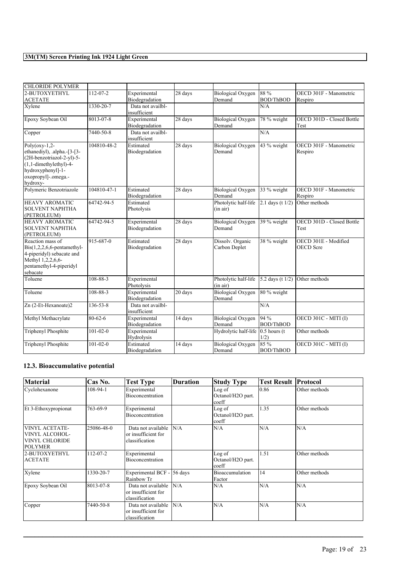| <b>CHLORIDE POLYMER</b>                                                                                                                                            |                |                                   |         |                                    |                          |                                          |
|--------------------------------------------------------------------------------------------------------------------------------------------------------------------|----------------|-----------------------------------|---------|------------------------------------|--------------------------|------------------------------------------|
| 2-BUTOXYETHYL<br><b>ACETATE</b>                                                                                                                                    | 112-07-2       | Experimental<br>Biodegradation    | 28 days | Biological Oxygen<br>Demand        | 88 %<br><b>BOD/ThBOD</b> | OECD 301F - Manometric<br>Respiro        |
| Xylene                                                                                                                                                             | 1330-20-7      | Data not availbl-<br>insufficient |         |                                    | N/A                      |                                          |
| Epoxy Soybean Oil                                                                                                                                                  | 8013-07-8      | Experimental<br>Biodegradation    | 28 days | Biological Oxygen<br>Demand        | 78 % weight              | OECD 301D - Closed Bottle<br>Test        |
| Copper                                                                                                                                                             | 7440-50-8      | Data not availbl-<br>insufficient |         |                                    | N/A                      |                                          |
| Poly( $oxy-1,2$ -<br>ethanediyl), .alpha.-[3-[3-<br>(2H-benzotriazol-2-yl)-5-<br>$(1,1$ -dimethylethyl)-4-<br>hydroxyphenyl]-1-<br>oxopropyl]-.omega.-<br>hydroxy- | 104810-48-2    | Estimated<br>Biodegradation       | 28 days | <b>Biological Oxygen</b><br>Demand | 43 % weight              | OECD 301F - Manometric<br>Respiro        |
| Polymeric Benzotriazole                                                                                                                                            | 104810-47-1    | Estimated<br>Biodegradation       | 28 days | <b>Biological Oxygen</b><br>Demand | 33 % weight              | OECD 301F - Manometric<br>Respiro        |
| <b>HEAVY AROMATIC</b><br><b>SOLVENT NAPHTHA</b><br>(PETROLEUM)                                                                                                     | 64742-94-5     | Estimated<br>Photolysis           |         | Photolytic half-life<br>(in air)   | $2.1$ days (t $1/2$ )    | Other methods                            |
| <b>HEAVY AROMATIC</b><br><b>SOLVENT NAPHTHA</b><br>(PETROLEUM)                                                                                                     | 64742-94-5     | Experimental<br>Biodegradation    | 28 days | <b>Biological Oxygen</b><br>Demand | 39 % weight              | OECD 301D - Closed Bottle<br>Test        |
| Reaction mass of<br>$Dis(1,2,2,6,6$ -pentamethyl-<br>4-piperidyl) sebacate and<br>Methyl 1,2,2,6,6-<br>pentamethyl-4-piperidyl<br>sebacate                         | 915-687-0      | Estimated<br>Biodegradation       | 28 days | Dissolv. Organic<br>Carbon Deplet  | 38 % weight              | OECD 301E - Modified<br><b>OECD</b> Scre |
| Toluene                                                                                                                                                            | $108 - 88 - 3$ | Experimental<br>Photolysis        |         | Photolytic half-life<br>(in air)   | 5.2 days (t $1/2$ )      | Other methods                            |
| Toluene                                                                                                                                                            | 108-88-3       | Experimental<br>Biodegradation    | 20 days | <b>Biological Oxygen</b><br>Demand | 80 % weight              |                                          |
| Zn (2-Et-Hexanoate)2                                                                                                                                               | 136-53-8       | Data not availbl-<br>insufficient |         |                                    | N/A                      |                                          |
| Methyl Methacrylate                                                                                                                                                | 80-62-6        | Experimental<br>Biodegradation    | 14 days | Biological Oxygen<br>Demand        | 94%<br><b>BOD/ThBOD</b>  | <b>OECD 301C - MITI (I)</b>              |
| Triphenyl Phosphite                                                                                                                                                | $101 - 02 - 0$ | Experimental<br>Hydrolysis        |         | Hydrolytic half-life               | $0.5$ hours (t<br>1/2)   | Other methods                            |
| Triphenyl Phosphite                                                                                                                                                | $101 - 02 - 0$ | Estimated<br>Biodegradation       | 14 days | <b>Biological Oxygen</b><br>Demand | 85 %<br><b>BOD/ThBOD</b> | <b>OECD 301C - MITI (I)</b>              |

### **12.3. Bioaccumulative potential**

| Material                                                                           | Cas No.    | <b>Test Type</b>                                            | <b>Duration</b> | <b>Study Type</b>                                 | <b>Test Result Protocol</b> |               |
|------------------------------------------------------------------------------------|------------|-------------------------------------------------------------|-----------------|---------------------------------------------------|-----------------------------|---------------|
| Cyclohexanone                                                                      | 108-94-1   | Experimental<br>Bioconcentration                            |                 | Log of<br>Octanol/H2O part.<br>coeff              | 0.86                        | Other methods |
| Et 3-Ethoxypropionat                                                               | 763-69-9   | Experimental<br>Bioconcentration                            |                 | Log of<br>Octanol/H2O part.<br>coeff              | 1.35                        | Other methods |
| <b>VINYL ACETATE-</b><br>VINYL ALCOHOL-<br><b>VINYL CHLORIDE</b><br><b>POLYMER</b> | 25086-48-0 | Data not available<br>or insufficient for<br>classification | N/A             | N/A                                               | N/A                         | N/A           |
| 2-BUTOXYETHYL<br><b>ACETATE</b>                                                    | 112-07-2   | Experimental<br>Bioconcentration                            |                 | Log of<br>Octanol/H <sub>2</sub> O part.<br>coeff | 1.51                        | Other methods |
| Xylene                                                                             | 1330-20-7  | Experimental BCF -<br>Rainbow Tr                            | 56 days         | Bioaccumulation<br>Factor                         | 14                          | Other methods |
| Epoxy Soybean Oil                                                                  | 8013-07-8  | Data not available<br>or insufficient for<br>classification | N/A             | N/A                                               | N/A                         | N/A           |
| Copper                                                                             | 7440-50-8  | Data not available<br>or insufficient for<br>classification | N/A             | N/A                                               | N/A                         | N/A           |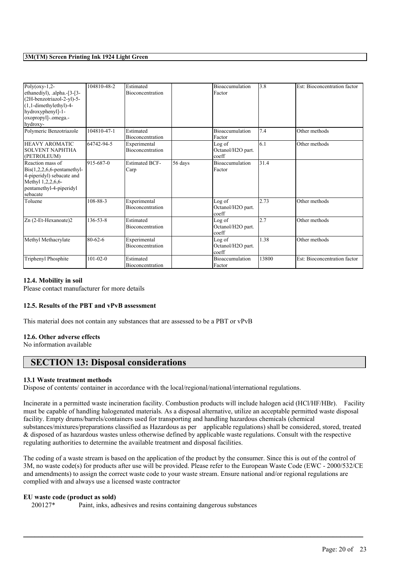| $\overline{Poly($ oxy-1,2-                 | 104810-48-2    | Estimated                               |         | <b>Bioaccumulation</b>     | 3.8   | Est: Bioconcentration factor |
|--------------------------------------------|----------------|-----------------------------------------|---------|----------------------------|-------|------------------------------|
| ethanediyl), .alpha.-[3-[3-                |                | <b>Bioconcentration</b>                 |         | Factor                     |       |                              |
| (2H-benzotriazol-2-yl)-5-                  |                |                                         |         |                            |       |                              |
| $(1,1$ -dimethylethyl)-4-                  |                |                                         |         |                            |       |                              |
| hydroxyphenyl]-1-                          |                |                                         |         |                            |       |                              |
| oxopropyl]-.omega.-                        |                |                                         |         |                            |       |                              |
| hydroxy-                                   |                |                                         |         |                            |       |                              |
| Polymeric Benzotriazole                    | 104810-47-1    | Estimated                               |         | <b>Bioaccumulation</b>     | 7.4   | Other methods                |
|                                            |                | Bioconcentration                        |         | Factor                     |       |                              |
| <b>HEAVY AROMATIC</b>                      | 64742-94-5     | Experimental                            |         | Log of                     | 6.1   | Other methods                |
| <b>SOLVENT NAPHTHA</b>                     |                | Bioconcentration                        |         | Octanol/H2O part.          |       |                              |
| (PETROLEUM)                                |                |                                         |         | coeff                      |       |                              |
| Reaction mass of                           | 915-687-0      | <b>Estimated BCF-</b>                   | 56 days | <b>Bioaccumulation</b>     | 31.4  |                              |
| $\text{Bis}(1,2,2,6,6\text{-pentamethyl-}$ |                | Carp                                    |         | Factor                     |       |                              |
| 4-piperidyl) sebacate and                  |                |                                         |         |                            |       |                              |
| Methyl 1,2,2,6,6-                          |                |                                         |         |                            |       |                              |
| pentamethyl-4-piperidyl                    |                |                                         |         |                            |       |                              |
| sebacate                                   |                |                                         |         |                            |       |                              |
| Toluene                                    | 108-88-3       | Experimental                            |         | Log of                     | 2.73  | Other methods                |
|                                            |                | Bioconcentration                        |         | Octanol/H2O part.          |       |                              |
|                                            |                |                                         |         | coeff                      |       |                              |
| Zn (2-Et-Hexanoate)2                       | $136 - 53 - 8$ | Estimated                               |         | Log of                     | 2.7   | Other methods                |
|                                            |                | Bioconcentration                        |         | Octanol/H2O part.          |       |                              |
|                                            |                |                                         |         | coeff                      | 1.38  | Other methods                |
| Methyl Methacrylate                        | $80 - 62 - 6$  | Experimental<br><b>Bioconcentration</b> |         | Log of                     |       |                              |
|                                            |                |                                         |         | Octanol/H2O part.<br>coeff |       |                              |
|                                            |                |                                         |         |                            |       |                              |
| Triphenyl Phosphite                        | $101 - 02 - 0$ | Estimated                               |         | <b>Bioaccumulation</b>     | 13800 | Est: Bioconcentration factor |
|                                            |                | Bioconcentration                        |         | Factor                     |       |                              |

#### **12.4. Mobility in soil**

Please contact manufacturer for more details

#### **12.5. Results of the PBT and vPvB assessment**

This material does not contain any substances that are assessed to be a PBT or vPvB

#### **12.6. Other adverse effects**

No information available

## **SECTION 13: Disposal considerations**

#### **13.1 Waste treatment methods**

Dispose of contents/ container in accordance with the local/regional/national/international regulations.

Incinerate in a permitted waste incineration facility. Combustion products will include halogen acid (HCl/HF/HBr). Facility must be capable of handling halogenated materials. As a disposal alternative, utilize an acceptable permitted waste disposal facility. Empty drums/barrels/containers used for transporting and handling hazardous chemicals (chemical substances/mixtures/preparations classified as Hazardous as per applicable regulations) shall be considered, stored, treated & disposed of as hazardous wastes unless otherwise defined by applicable waste regulations. Consult with the respective regulating authorities to determine the available treatment and disposal facilities.

The coding of a waste stream is based on the application of the product by the consumer. Since this is out of the control of 3M, no waste code(s) for products after use will be provided. Please refer to the European Waste Code (EWC - 2000/532/CE and amendments) to assign the correct waste code to your waste stream. Ensure national and/or regional regulations are complied with and always use a licensed waste contractor

 $\mathcal{L}_\mathcal{L} = \mathcal{L}_\mathcal{L} = \mathcal{L}_\mathcal{L} = \mathcal{L}_\mathcal{L} = \mathcal{L}_\mathcal{L} = \mathcal{L}_\mathcal{L} = \mathcal{L}_\mathcal{L} = \mathcal{L}_\mathcal{L} = \mathcal{L}_\mathcal{L} = \mathcal{L}_\mathcal{L} = \mathcal{L}_\mathcal{L} = \mathcal{L}_\mathcal{L} = \mathcal{L}_\mathcal{L} = \mathcal{L}_\mathcal{L} = \mathcal{L}_\mathcal{L} = \mathcal{L}_\mathcal{L} = \mathcal{L}_\mathcal{L}$ 

#### **EU waste code (product as sold)**

200127\* Paint, inks, adhesives and resins containing dangerous substances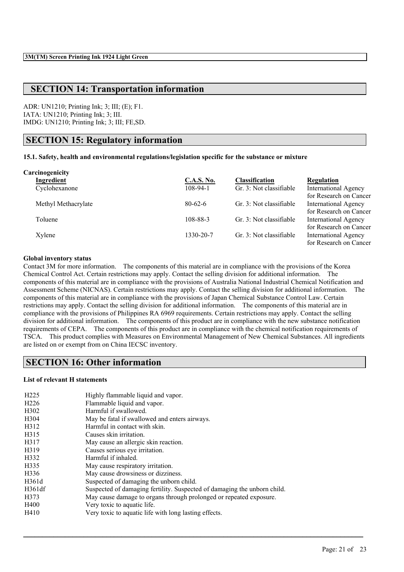# **SECTION 14: Transportation information**

ADR: UN1210; Printing Ink; 3; III; (E); F1. IATA: UN1210; Printing Ink; 3; III. IMDG: UN1210; Printing Ink; 3; III; FE,SD.

# **SECTION 15: Regulatory information**

#### **15.1. Safety, health and environmental regulations/legislation specific for the substance or mixture**

| Carcinogenicity     |                   |                         |                             |
|---------------------|-------------------|-------------------------|-----------------------------|
| Ingredient          | <b>C.A.S. No.</b> | <b>Classification</b>   | Regulation                  |
| Cyclohexanone       | $108-94-1$        | Gr. 3: Not classifiable | <b>International Agency</b> |
|                     |                   |                         | for Research on Cancer      |
| Methyl Methacrylate | $80-62-6$         | Gr. 3: Not classifiable | <b>International Agency</b> |
|                     |                   |                         | for Research on Cancer      |
| Toluene             | 108-88-3          | Gr. 3: Not classifiable | <b>International Agency</b> |
|                     |                   |                         | for Research on Cancer      |
| Xylene              | 1330-20-7         | Gr. 3: Not classifiable | <b>International Agency</b> |
|                     |                   |                         | for Research on Cancer      |

#### **Global inventory status**

Contact 3M for more information. The components of this material are in compliance with the provisions of the Korea Chemical Control Act. Certain restrictions may apply. Contact the selling division for additional information. The components of this material are in compliance with the provisions of Australia National Industrial Chemical Notification and Assessment Scheme (NICNAS). Certain restrictions may apply. Contact the selling division for additional information. The components of this material are in compliance with the provisions of Japan Chemical Substance Control Law. Certain restrictions may apply. Contact the selling division for additional information. The components of this material are in compliance with the provisions of Philippines RA 6969 requirements. Certain restrictions may apply. Contact the selling division for additional information. The components of this product are in compliance with the new substance notification requirements of CEPA. The components of this product are in compliance with the chemical notification requirements of TSCA. This product complies with Measures on Environmental Management of New Chemical Substances. All ingredients are listed on or exempt from on China IECSC inventory.

 $\mathcal{L}_\mathcal{L} = \mathcal{L}_\mathcal{L} = \mathcal{L}_\mathcal{L} = \mathcal{L}_\mathcal{L} = \mathcal{L}_\mathcal{L} = \mathcal{L}_\mathcal{L} = \mathcal{L}_\mathcal{L} = \mathcal{L}_\mathcal{L} = \mathcal{L}_\mathcal{L} = \mathcal{L}_\mathcal{L} = \mathcal{L}_\mathcal{L} = \mathcal{L}_\mathcal{L} = \mathcal{L}_\mathcal{L} = \mathcal{L}_\mathcal{L} = \mathcal{L}_\mathcal{L} = \mathcal{L}_\mathcal{L} = \mathcal{L}_\mathcal{L}$ 

## **SECTION 16: Other information**

#### **List of relevant H statements**

| H <sub>225</sub>  | Highly flammable liquid and vapor.                                       |
|-------------------|--------------------------------------------------------------------------|
| H <sub>226</sub>  | Flammable liquid and vapor.                                              |
| H <sub>3</sub> 02 | Harmful if swallowed.                                                    |
| H <sub>304</sub>  | May be fatal if swallowed and enters airways.                            |
| H312              | Harmful in contact with skin.                                            |
| H315              | Causes skin irritation.                                                  |
| H317              | May cause an allergic skin reaction.                                     |
| H319              | Causes serious eye irritation.                                           |
| H332              | Harmful if inhaled.                                                      |
| H335              | May cause respiratory irritation.                                        |
| H336              | May cause drowsiness or dizziness.                                       |
| H361d             | Suspected of damaging the unborn child.                                  |
| H361df            | Suspected of damaging fertility. Suspected of damaging the unborn child. |
| H373              | May cause damage to organs through prolonged or repeated exposure.       |
| H400              | Very toxic to aquatic life.                                              |
| H410              | Very toxic to aquatic life with long lasting effects.                    |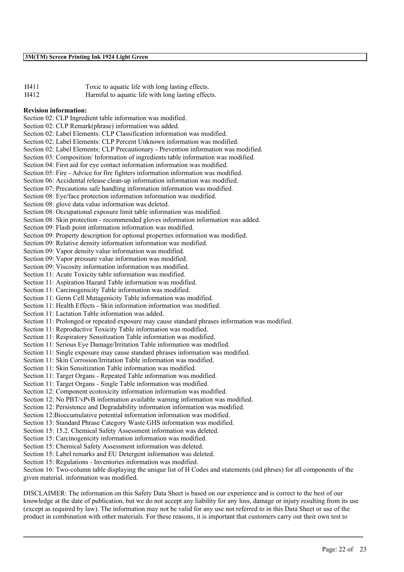| H411 | Toxic to aquatic life with long lasting effects.   |
|------|----------------------------------------------------|
| H412 | Harmful to aquatic life with long lasting effects. |

#### **Revision information:**

Section 02: CLP Ingredient table information was modified. Section 02: CLP Remark(phrase) information was added. Section 02: Label Elements: CLP Classification information was modified. Section 02: Label Elements: CLP Percent Unknown information was modified. Section 02: Label Elements: CLP Precautionary - Prevention information was modified. Section 03: Composition/ Information of ingredients table information was modified. Section 04: First aid for eye contact information information was modified. Section 05: Fire - Advice for fire fighters information information was modified. Section 06: Accidental release clean-up information information was modified. Section 07: Precautions safe handling information information was modified. Section 08: Eye/face protection information information was modified. Section 08: glove data value information was deleted. Section 08: Occupational exposure limit table information was modified. Section 08: Skin protection - recommended gloves information information was added. Section 09: Flash point information information was modified. Section 09: Property description for optional properties information was modified. Section 09: Relative density information information was modified. Section 09: Vapor density value information was modified. Section 09: Vapor pressure value information was modified. Section 09: Viscosity information information was modified. Section 11: Acute Toxicity table information was modified. Section 11: Aspiration Hazard Table information was modified. Section 11: Carcinogenicity Table information was modified. Section 11: Germ Cell Mutagenicity Table information was modified. Section 11: Health Effects - Skin information information was modified. Section 11: Lactation Table information was added. Section 11: Prolonged or repeated exposure may cause standard phrases information was modified. Section 11: Reproductive Toxicity Table information was modified. Section 11: Respiratory Sensitization Table information was modified. Section 11: Serious Eye Damage/Irritation Table information was modified. Section 11: Single exposure may cause standard phrases information was modified. Section 11: Skin Corrosion/Irritation Table information was modified. Section 11: Skin Sensitization Table information was modified. Section 11: Target Organs - Repeated Table information was modified. Section 11: Target Organs - Single Table information was modified. Section 12: Component ecotoxicity information information was modified. Section 12: No PBT/vPvB information available warning information was modified. Section 12: Persistence and Degradability information information was modified. Section 12:Bioccumulative potential information information was modified. Section 13: Standard Phrase Category Waste GHS information was modified. Section 15: 15.2. Chemical Safety Assessment information was deleted. Section 15: Carcinogenicity information information was modified. Section 15: Chemical Safety Assessment information was deleted. Section 15: Label remarks and EU Detergent information was deleted. Section 15: Regulations - Inventories information was modified. Section 16: Two-column table displaying the unique list of H Codes and statements (std phrses) for all components of the

given material. information was modified.

DISCLAIMER: The information on this Safety Data Sheet is based on our experience and is correct to the best of our knowledge at the date of publication, but we do not accept any liability for any loss, damage or injury resulting from its use (except as required by law). The information may not be valid for any use not referred to in this Data Sheet or use of the product in combination with other materials. For these reasons, it is important that customers carry out their own test to